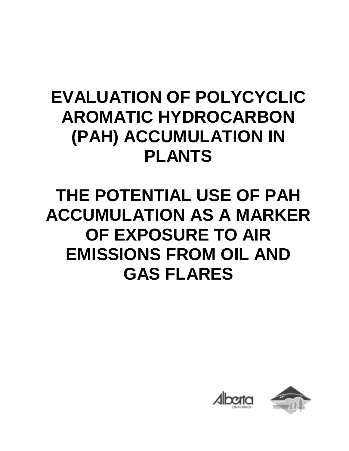# **EVALUATION OF POLYCYCLIC AROMATIC HYDROCARBON (PAH) ACCUMULATION IN PLANTS**

# **THE POTENTIAL USE OF PAH ACCUMULATION AS A MARKER OF EXPOSURE TO AIR EMISSIONS FROM OIL AND GAS FLARES**

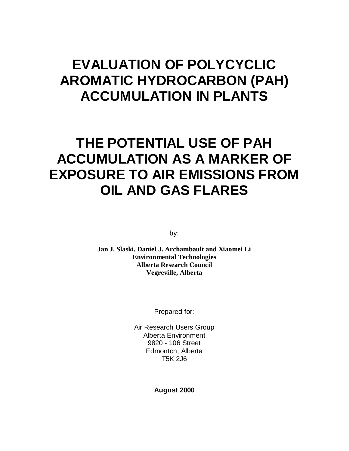## **EVALUATION OF POLYCYCLIC AROMATIC HYDROCARBON (PAH) ACCUMULATION IN PLANTS**

## **THE POTENTIAL USE OF PAH ACCUMULATION AS A MARKER OF EXPOSURE TO AIR EMISSIONS FROM OIL AND GAS FLARES**

by:

**Jan J. Slaski, Daniel J. Archambault and Xiaomei Li Environmental Technologies Alberta Research Council Vegreville, Alberta**

Prepared for:

Air Research Users Group Alberta Environment 9820 - 106 Street Edmonton, Alberta T5K 2J6

**August 2000**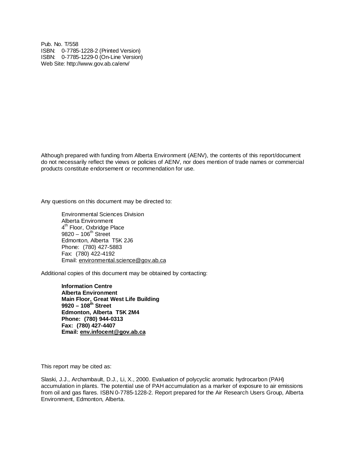Pub. No. T/558 ISBN: 0-7785-1228-2 (Printed Version) ISBN: 0-7785-1229-0 (On-Line Version) Web Site: http://www.gov.ab.ca/env/

Although prepared with funding from Alberta Environment (AENV), the contents of this report/document do not necessarily reflect the views or policies of AENV, nor does mention of trade names or commercial products constitute endorsement or recommendation for use.

Any questions on this document may be directed to:

Environmental Sciences Division Alberta Environment 4<sup>th</sup> Floor, Oxbridge Place  $9820 - 106^{th}$  Street Edmonton, Alberta T5K 2J6 Phone: (780) 427-5883 Fax: (780) 422-4192 Email: environmental.science@gov.ab.ca

Additional copies of this document may be obtained by contacting:

**Information Centre Alberta Environment Main Floor, Great West Life Building 9920 – 108th Street Edmonton, Alberta T5K 2M4 Phone: (780) 944-0313 Fax: (780) 427-4407 Email: env.infocent@gov.ab.ca**

This report may be cited as:

Slaski, J.J., Archambault, D.J., Li, X., 2000. Evaluation of polycyclic aromatic hydrocarbon (PAH) accumulation in plants. The potential use of PAH accumulation as a marker of exposure to air emissions from oil and gas flares. ISBN 0-7785-1228-2. Report prepared for the Air Research Users Group, Alberta Environment, Edmonton, Alberta.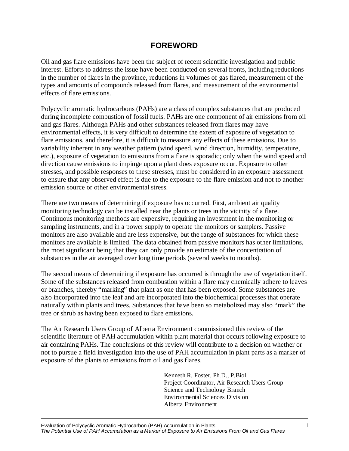### **FOREWORD**

Oil and gas flare emissions have been the subject of recent scientific investigation and public interest. Efforts to address the issue have been conducted on several fronts, including reductions in the number of flares in the province, reductions in volumes of gas flared, measurement of the types and amounts of compounds released from flares, and measurement of the environmental effects of flare emissions.

Polycyclic aromatic hydrocarbons (PAHs) are a class of complex substances that are produced during incomplete combustion of fossil fuels. PAHs are one component of air emissions from oil and gas flares. Although PAHs and other substances released from flares may have environmental effects, it is very difficult to determine the extent of exposure of vegetation to flare emissions, and therefore, it is difficult to measure any effects of these emissions. Due to variability inherent in any weather pattern (wind speed, wind direction, humidity, temperature, etc.), exposure of vegetation to emissions from a flare is sporadic; only when the wind speed and direction cause emissions to impinge upon a plant does exposure occur. Exposure to other stresses, and possible responses to these stresses, must be considered in an exposure assessment to ensure that any observed effect is due to the exposure to the flare emission and not to another emission source or other environmental stress.

There are two means of determining if exposure has occurred. First, ambient air quality monitoring technology can be installed near the plants or trees in the vicinity of a flare. Continuous monitoring methods are expensive, requiring an investment in the monitoring or sampling instruments, and in a power supply to operate the monitors or samplers. Passive monitors are also available and are less expensive, but the range of substances for which these monitors are available is limited. The data obtained from passive monitors has other limitations, the most significant being that they can only provide an estimate of the concentration of substances in the air averaged over long time periods (several weeks to months).

The second means of determining if exposure has occurred is through the use of vegetation itself. Some of the substances released from combustion within a flare may chemically adhere to leaves or branches, thereby "marking" that plant as one that has been exposed. Some substances are also incorporated into the leaf and are incorporated into the biochemical processes that operate naturally within plants and trees. Substances that have been so metabolized may also "mark" the tree or shrub as having been exposed to flare emissions.

The Air Research Users Group of Alberta Environment commissioned this review of the scientific literature of PAH accumulation within plant material that occurs following exposure to air containing PAHs. The conclusions of this review will contribute to a decision on whether or not to pursue a field investigation into the use of PAH accumulation in plant parts as a marker of exposure of the plants to emissions from oil and gas flares.

> Kenneth R. Foster, Ph.D., P.Biol. Project Coordinator, Air Research Users Group Science and Technology Branch Environmental Sciences Division Alberta Environment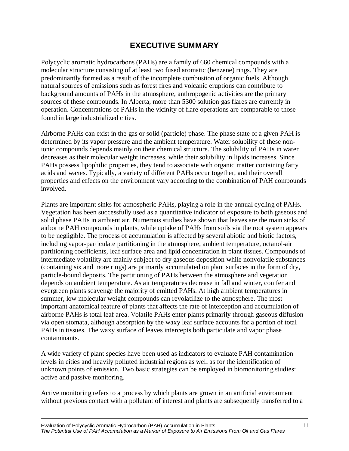## **EXECUTIVE SUMMARY**

Polycyclic aromatic hydrocarbons (PAHs) are a family of 660 chemical compounds with a molecular structure consisting of at least two fused aromatic (benzene) rings. They are predominantly formed as a result of the incomplete combustion of organic fuels. Although natural sources of emissions such as forest fires and volcanic eruptions can contribute to background amounts of PAHs in the atmosphere, anthropogenic activities are the primary sources of these compounds. In Alberta, more than 5300 solution gas flares are currently in operation. Concentrations of PAHs in the vicinity of flare operations are comparable to those found in large industrialized cities.

Airborne PAHs can exist in the gas or solid (particle) phase. The phase state of a given PAH is determined by its vapor pressure and the ambient temperature. Water solubility of these nonionic compounds depends mainly on their chemical structure. The solubility of PAHs in water decreases as their molecular weight increases, while their solubility in lipids increases. Since PAHs possess lipophilic properties, they tend to associate with organic matter containing fatty acids and waxes. Typically, a variety of different PAHs occur together, and their overall properties and effects on the environment vary according to the combination of PAH compounds involved.

Plants are important sinks for atmospheric PAHs, playing a role in the annual cycling of PAHs. Vegetation has been successfully used as a quantitative indicator of exposure to both gaseous and solid phase PAHs in ambient air. Numerous studies have shown that leaves are the main sinks of airborne PAH compounds in plants, while uptake of PAHs from soils via the root system appears to be negligible. The process of accumulation is affected by several abiotic and biotic factors, including vapor-particulate partitioning in the atmosphere, ambient temperature, octanol-air partitioning coefficients, leaf surface area and lipid concentration in plant tissues. Compounds of intermediate volatility are mainly subject to dry gaseous deposition while nonvolatile substances (containing six and more rings) are primarily accumulated on plant surfaces in the form of dry, particle-bound deposits. The partitioning of PAHs between the atmosphere and vegetation depends on ambient temperature. As air temperatures decrease in fall and winter, conifer and evergreen plants scavenge the majority of emitted PAHs. At high ambient temperatures in summer, low molecular weight compounds can revolatilize to the atmosphere. The most important anatomical feature of plants that affects the rate of interception and accumulation of airborne PAHs is total leaf area. Volatile PAHs enter plants primarily through gaseous diffusion via open stomata, although absorption by the waxy leaf surface accounts for a portion of total PAHs in tissues. The waxy surface of leaves intercepts both particulate and vapor phase contaminants.

A wide variety of plant species have been used as indicators to evaluate PAH contamination levels in cities and heavily polluted industrial regions as well as for the identification of unknown points of emission. Two basic strategies can be employed in biomonitoring studies: active and passive monitoring.

Active monitoring refers to a process by which plants are grown in an artificial environment without previous contact with a pollutant of interest and plants are subsequently transferred to a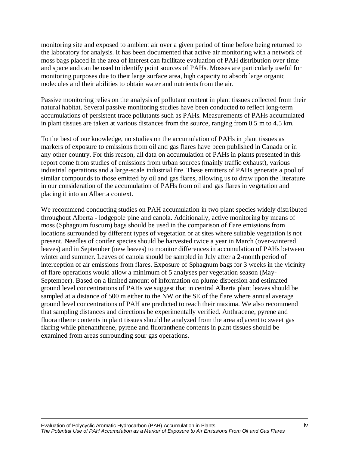monitoring site and exposed to ambient air over a given period of time before being returned to the laboratory for analysis. It has been documented that active air monitoring with a network of moss bags placed in the area of interest can facilitate evaluation of PAH distribution over time and space and can be used to identify point sources of PAHs. Mosses are particularly useful for monitoring purposes due to their large surface area, high capacity to absorb large organic molecules and their abilities to obtain water and nutrients from the air.

Passive monitoring relies on the analysis of pollutant content in plant tissues collected from their natural habitat. Several passive monitoring studies have been conducted to reflect long-term accumulations of persistent trace pollutants such as PAHs. Measurements of PAHs accumulated in plant tissues are taken at various distances from the source, ranging from 0.5 m to 4.5 km.

To the best of our knowledge, no studies on the accumulation of PAHs in plant tissues as markers of exposure to emissions from oil and gas flares have been published in Canada or in any other country. For this reason, all data on accumulation of PAHs in plants presented in this report come from studies of emissions from urban sources (mainly traffic exhaust), various industrial operations and a large-scale industrial fire. These emitters of PAHs generate a pool of similar compounds to those emitted by oil and gas flares, allowing us to draw upon the literature in our consideration of the accumulation of PAHs from oil and gas flares in vegetation and placing it into an Alberta context.

We recommend conducting studies on PAH accumulation in two plant species widely distributed throughout Alberta - lodgepole pine and canola. Additionally, active monitoring by means of moss (Sphagnum fuscum) bags should be used in the comparison of flare emissions from locations surrounded by different types of vegetation or at sites where suitable vegetation is not present. Needles of conifer species should be harvested twice a year in March (over-wintered leaves) and in September (new leaves) to monitor differences in accumulation of PAHs between winter and summer. Leaves of canola should be sampled in July after a 2-month period of interception of air emissions from flares. Exposure of Sphagnum bags for 3 weeks in the vicinity of flare operations would allow a minimum of 5 analyses per vegetation season (May-September). Based on a limited amount of information on plume dispersion and estimated ground level concentrations of PAHs we suggest that in central Alberta plant leaves should be sampled at a distance of 500 m either to the NW or the SE of the flare where annual average ground level concentrations of PAH are predicted to reach their maxima. We also recommend that sampling distances and directions be experimentally verified. Anthracene, pyrene and fluoranthene contents in plant tissues should be analyzed from the area adjacent to sweet gas flaring while phenanthrene, pyrene and fluoranthene contents in plant tissues should be examined from areas surrounding sour gas operations.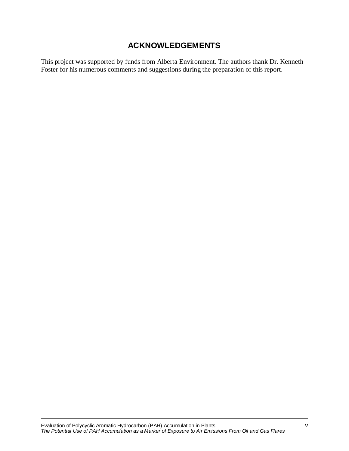## **ACKNOWLEDGEMENTS**

This project was supported by funds from Alberta Environment. The authors thank Dr. Kenneth Foster for his numerous comments and suggestions during the preparation of this report.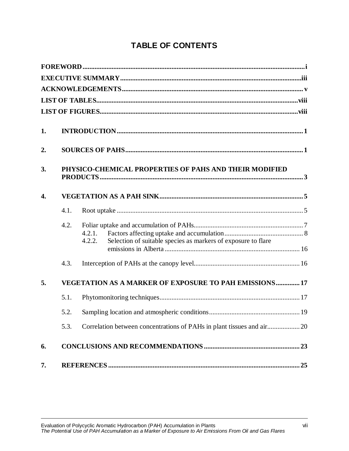## **TABLE OF CONTENTS**

| 1.               |      |                                                                                   |  |  |  |  |
|------------------|------|-----------------------------------------------------------------------------------|--|--|--|--|
| 2.               |      |                                                                                   |  |  |  |  |
| 3.               |      | PHYSICO-CHEMICAL PROPERTIES OF PAHS AND THEIR MODIFIED                            |  |  |  |  |
| $\overline{4}$ . |      |                                                                                   |  |  |  |  |
|                  | 4.1. |                                                                                   |  |  |  |  |
|                  | 4.2. | 4.2.1.<br>Selection of suitable species as markers of exposure to flare<br>4.2.2. |  |  |  |  |
|                  | 4.3. |                                                                                   |  |  |  |  |
| 5.               |      | <b>VEGETATION AS A MARKER OF EXPOSURE TO PAH EMISSIONS 17</b>                     |  |  |  |  |
|                  | 5.1. |                                                                                   |  |  |  |  |
|                  | 5.2. |                                                                                   |  |  |  |  |
|                  | 5.3. |                                                                                   |  |  |  |  |
| 6.               |      |                                                                                   |  |  |  |  |
| 7.               |      |                                                                                   |  |  |  |  |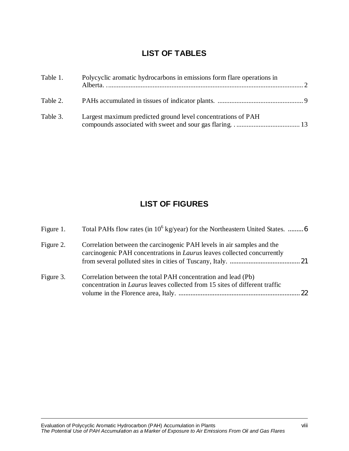## **LIST OF TABLES**

| Table 1. | Polycyclic aromatic hydrocarbons in emissions form flare operations in |  |
|----------|------------------------------------------------------------------------|--|
| Table 2. |                                                                        |  |
| Table 3. | Largest maximum predicted ground level concentrations of PAH           |  |

## **LIST OF FIGURES**

| Figure 1. | Total PAHs flow rates (in $10^6$ kg/year) for the Northeastern United States.  6                                                                         |
|-----------|----------------------------------------------------------------------------------------------------------------------------------------------------------|
| Figure 2. | Correlation between the carcinogenic PAH levels in air samples and the<br>carcinogenic PAH concentrations in <i>Laurus</i> leaves collected concurrently |
| Figure 3. | Correlation between the total PAH concentration and lead (Pb)<br>concentration in <i>Laurus</i> leaves collected from 15 sites of different traffic      |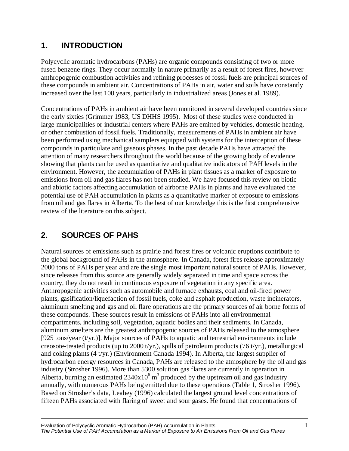## **1. INTRODUCTION**

Polycyclic aromatic hydrocarbons (PAHs) are organic compounds consisting of two or more fused benzene rings. They occur normally in nature primarily as a result of forest fires, however anthropogenic combustion activities and refining processes of fossil fuels are principal sources of these compounds in ambient air. Concentrations of PAHs in air, water and soils have constantly increased over the last 100 years, particularly in industrialized areas (Jones et al. 1989).

Concentrations of PAHs in ambient air have been monitored in several developed countries since the early sixties (Grimmer 1983, US DHHS 1995). Most of these studies were conducted in large municipalities or industrial centers where PAHs are emitted by vehicles, domestic heating, or other combustion of fossil fuels. Traditionally, measurements of PAHs in ambient air have been performed using mechanical samplers equipped with systems for the interception of these compounds in particulate and gaseous phases. In the past decade PAHs have attracted the attention of many researchers throughout the world because of the growing body of evidence showing that plants can be used as quantitative and qualitative indicators of PAH levels in the environment. However, the accumulation of PAHs in plant tissues as a marker of exposure to emissions from oil and gas flares has not been studied. We have focused this review on biotic and abiotic factors affecting accumulation of airborne PAHs in plants and have evaluated the potential use of PAH accumulation in plants as a quantitative marker of exposure to emissions from oil and gas flares in Alberta. To the best of our knowledge this is the first comprehensive review of the literature on this subject.

## **2. SOURCES OF PAHS**

Natural sources of emissions such as prairie and forest fires or volcanic eruptions contribute to the global background of PAHs in the atmosphere. In Canada, forest fires release approximately 2000 tons of PAHs per year and are the single most important natural source of PAHs. However, since releases from this source are generally widely separated in time and space across the country, they do not result in continuous exposure of vegetation in any specific area. Anthropogenic activities such as automobile and furnace exhausts, coal and oil-fired power plants, gasification/liquefaction of fossil fuels, coke and asphalt production, waste incinerators, aluminum smelting and gas and oil flare operations are the primary sources of air borne forms of these compounds. These sources result in emissions of PAHs into all environmental compartments, including soil, vegetation, aquatic bodies and their sediments. In Canada, aluminum smelters are the greatest anthropogenic sources of PAHs released to the atmosphere [925 tons/year (t/yr.)]. Major sources of PAHs to aquatic and terrestrial environments include creosote-treated products (up to 2000 t/yr.), spills of petroleum products (76 t/yr.), metallurgical and coking plants (4 t/yr.) (Environment Canada 1994). In Alberta, the largest supplier of hydrocarbon energy resources in Canada, PAHs are released to the atmosphere by the oil and gas industry (Strosher 1996). More than 5300 solution gas flares are currently in operation in Alberta, burning an estimated  $2340x10^6$  m<sup>3</sup> produced by the upstream oil and gas industry annually, with numerous PAHs being emitted due to these operations (Table 1, Strosher 1996). Based on Strosher's data, Leahey (1996) calculated the largest ground level concentrations of fifteen PAHs associated with flaring of sweet and sour gases. He found that concentrations of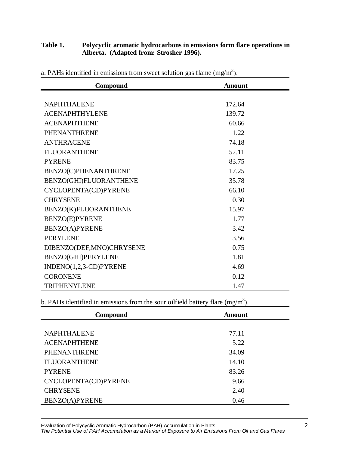#### **Table 1. Polycyclic aromatic hydrocarbons in emissions form flare operations in Alberta. (Adapted from: Strosher 1996).**

| Compound                   | <b>Amount</b> |
|----------------------------|---------------|
|                            |               |
| NAPHTHALENE                | 172.64        |
| <b>ACENAPHTHYLENE</b>      | 139.72        |
| <b>ACENAPHTHENE</b>        | 60.66         |
| PHENANTHRENE               | 1.22          |
| <b>ANTHRACENE</b>          | 74.18         |
| <b>FLUORANTHENE</b>        | 52.11         |
| <b>PYRENE</b>              | 83.75         |
| BENZO(C)PHENANTHRENE       | 17.25         |
| BENZO(GHI)FLUORANTHENE     | 35.78         |
| CYCLOPENTA(CD)PYRENE       | 66.10         |
| <b>CHRYSENE</b>            | 0.30          |
| BENZO(K)FLUORANTHENE       | 15.97         |
| <b>BENZO(E)PYRENE</b>      | 1.77          |
| BENZO(A)PYRENE             | 3.42          |
| <b>PERYLENE</b>            | 3.56          |
| DIBENZO(DEF, MNO) CHRYSENE | 0.75          |
| BENZO(GHI)PERYLENE         | 1.81          |
| INDENO(1,2,3-CD)PYRENE     | 4.69          |
| <b>CORONENE</b>            | 0.12          |
| <b>TRIPHENYLENE</b>        | 1.47          |

a. PAHs identified in emissions from sweet solution gas flame  $(mg/m<sup>3</sup>)$ .

b. PAHs identified in emissions from the sour oilfield battery flare (mg/m<sup>3</sup>).

| Compound             | <b>Amount</b> |
|----------------------|---------------|
|                      |               |
| <b>NAPHTHALENE</b>   | 77.11         |
| <b>ACENAPHTHENE</b>  | 5.22          |
| <b>PHENANTHRENE</b>  | 34.09         |
| <b>FLUORANTHENE</b>  | 14.10         |
| <b>PYRENE</b>        | 83.26         |
| CYCLOPENTA(CD)PYRENE | 9.66          |
| <b>CHRYSENE</b>      | 2.40          |
| BENZO(A)PYRENE       | 0.46          |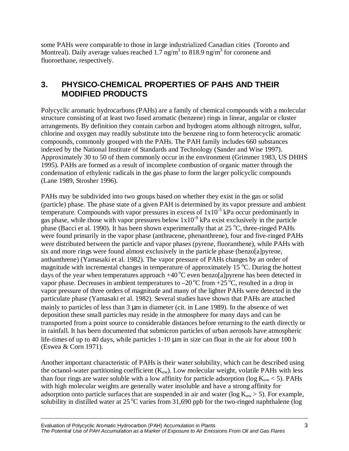some PAHs were comparable to those in large industrialized Canadian cities (Toronto and Montreal). Daily average values reached 1.7 ng/m<sup>3</sup> to 818.9 ng/m<sup>3</sup> for coronene and fluoroethane, respectively.

## **3. PHYSICO-CHEMICAL PROPERTIES OF PAHS AND THEIR MODIFIED PRODUCTS**

Polycyclic aromatic hydrocarbons (PAHs) are a family of chemical compounds with a molecular structure consisting of at least two fused aromatic (benzene) rings in linear, angular or cluster arrangements. By definition they contain carbon and hydrogen atoms although nitrogen, sulfur, chlorine and oxygen may readily substitute into the benzene ring to form heterocyclic aromatic compounds, commonly grouped with the PAHs. The PAH family includes 660 substances indexed by the National Institute of Standards and Technology (Sander and Wise 1997). Approximately 30 to 50 of them commonly occur in the environment (Grimmer 1983, US DHHS 1995). PAHs are formed as a result of incomplete combustion of organic matter through the condensation of ethylenic radicals in the gas phase to form the larger policyclic compounds (Lane 1989, Strosher 1996).

PAHs may be subdivided into two groups based on whether they exist in the gas or solid (particle) phase. The phase state of a given PAH is determined by its vapor pressure and ambient temperature. Compounds with vapor pressures in excess of  $1x10^{-5}$  kPa occur predominantly in gas phase, while those with vapor pressures below  $1x10^{-9}$  kPa exist exclusively in the particle phase (Bacci et al. 1990). It has been shown experimentally that at  $25^{\circ}$ C, three-ringed PAHs were found primarily in the vapor phase (anthracene, phenanthrene), four and five-ringed PAHs were distributed between the particle and vapor phases (pyrene, fluoranthene), while PAHs with six and more rings were found almost exclusively in the particle phase (benzo[a]pyrene, anthanthrene) (Yamasaki et al. 1982). The vapor pressure of PAHs changes by an order of magnitude with incremental changes in temperature of approximately 15 $^{\circ}$ C. During the hottest days of the year when temperatures approach  $+40\degree$ C even benzo[a]pyrene has been detected in vapor phase. Decreases in ambient temperatures to  $-20\degree C$  from  $+25\degree C$ , resulted in a drop in vapor pressure of three orders of magnitude and many of the lighter PAHs were detected in the particulate phase (Yamasaki et al. 1982). Several studies have shown that PAHs are attached mainly to particles of less than 3 µm in diameter (cit. in Lane 1989). In the absence of wet deposition these small particles may reside in the atmosphere for many days and can be transported from a point source to considerable distances before returning to the earth directly or in rainfall. It has been documented that submicron particles of urban aerosols have atmospheric life-times of up to 40 days, while particles 1-10  $\mu$ m in size can float in the air for about 100 h (Eswea & Corn 1971).

Another important characteristic of PAHs is their water solubility, which can be described using the octanol-water partitioning coefficient  $(K<sub>ow</sub>)$ . Low molecular weight, volatile PAHs with less than four rings are water soluble with a low affinity for particle adsorption (log  $K_{ow}$  < 5). PAHs with high molecular weights are generally water insoluble and have a strong affinity for adsorption onto particle surfaces that are suspended in air and water ( $log K_{ow} > 5$ ). For example, solubility in distilled water at  $25^{\circ}$ C varies from 31,690 ppb for the two-ringed naphthalene (log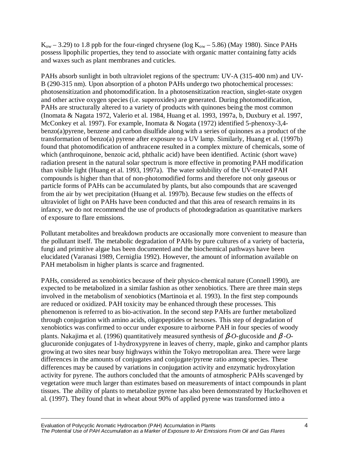$K_{ow}$  – 3.29) to 1.8 ppb for the four-ringed chrysene (log  $K_{ow}$  – 5.86) (May 1980). Since PAHs possess lipophilic properties, they tend to associate with organic matter containing fatty acids and waxes such as plant membranes and cuticles.

PAHs absorb sunlight in both ultraviolet regions of the spectrum: UV-A (315-400 nm) and UV-B (290-315 nm). Upon absorption of a photon PAHs undergo two photochemical processes: photosensitization and photomodification. In a photosensitization reaction, singlet-state oxygen and other active oxygen species (i.e. superoxides) are generated. During photomodification, PAHs are structurally altered to a variety of products with quinones being the most common (Inomata & Nagata 1972, Valerio et al. 1984, Huang et al. 1993, 1997a, b, Duxbury et al. 1997, McConkey et al. 1997). For example, Inomata & Nogata (1972) identified 5-phenoxy-3,4 benzo(a)pyrene, benzene and carbon disulfide along with a series of quinones as a product of the transformation of benzo(a) pyrene after exposure to a UV lamp. Similarly, Huang et al. (1997b) found that photomodification of anthracene resulted in a complex mixture of chemicals, some of which (anthroquinone, benzoic acid, phthalic acid) have been identified. Actinic (short wave) radiation present in the natural solar spectrum is more effective in promoting PAH modification than visible light (Huang et al. 1993, 1997a). The water solubility of the UV-treated PAH compounds is higher than that of non-photomodified forms and therefore not only gaseous or particle forms of PAHs can be accumulated by plants, but also compounds that are scavenged from the air by wet precipitation (Huang et al. 1997b). Because few studies on the effects of ultraviolet of light on PAHs have been conducted and that this area of research remains in its infancy, we do not recommend the use of products of photodegradation as quantitative markers of exposure to flare emissions.

Pollutant metabolites and breakdown products are occasionally more convenient to measure than the pollutant itself. The metabolic degradation of PAHs by pure cultures of a variety of bacteria, fungi and primitive algae has been documented and the biochemical pathways have been elucidated (Varanasi 1989, Cerniglia 1992). However, the amount of information available on PAH metabolism in higher plants is scarce and fragmented.

PAHs, considered as xenobiotics because of their physico-chemical nature (Connell 1990), are expected to be metabolized in a similar fashion as other xenobiotics. There are three main steps involved in the metabolism of xenobiotics (Martinoia et al. 1993). In the first step compounds are reduced or oxidized. PAH toxicity may be enhanced through these processes. This phenomenon is referred to as bio-activation. In the second step PAHs are further metabolized through conjugation with amino acids, oligopeptides or hexoses. This step of degradation of xenobiotics was confirmed to occur under exposure to airborne PAH in four species of woody plants. Nakajima et al. (1996) quantitatively measured synthesis of β*-O*-glucoside and β *-O*glucuronide conjugates of 1-hydroxypyrene in leaves of cherry, maple, ginko and camphor plants growing at two sites near busy highways within the Tokyo metropolitan area. There were large differences in the amounts of conjugates and conjugate/pyrene ratio among species. These differences may be caused by variations in conjugation activity and enzymatic hydroxylation activity for pyrene. The authors concluded that the amounts of atmospheric PAHs scavenged by vegetation were much larger than estimates based on measurements of intact compounds in plant tissues. The ability of plants to metabolize pyrene has also been demonstrated by Huckelhoven et al. (1997). They found that in wheat about 90% of applied pyrene was transformed into a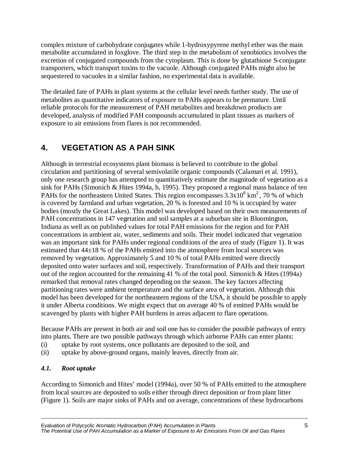complex mixture of carbohydrate conjugates while 1-hydroxypyrene methyl ether was the main metabolite accumulated in foxglove. The third step in the metabolism of xenobiotics involves the excretion of conjugated compounds from the cytoplasm. This is done by glutathione S-conjugate transporters, which transport toxins to the vacuole. Although conjugated PAHs might also be sequestered to vacuoles in a similar fashion, no experimental data is available.

The detailed fate of PAHs in plant systems at the cellular level needs further study. The use of metabolites as quantitative indicators of exposure to PAHs appears to be premature. Until reliable protocols for the measurement of PAH metabolites and breakdown products are developed, analysis of modified PAH compounds accumulated in plant tissues as markers of exposure to air emissions from flares is not recommended.

## **4. VEGETATION AS A PAH SINK**

Although in terrestrial ecosystems plant biomass is believed to contribute to the global circulation and partitioning of several semivolatile organic compounds (Calamari et al. 1991), only one research group has attempted to quantitatively estimate the magnitude of vegetation as a sink for PAHs (Simonich & Hites 1994a, b, 1995). They proposed a regional mass balance of ten PAHs for the northeastern United States. This region encompasses  $3.3x10^6$  km<sup>2</sup>, 70 % of which is covered by farmland and urban vegetation, 20 % is forested and 10 % is occupied by water bodies (mostly the Great Lakes). This model was developed based on their own measurements of PAH concentrations in 147 vegetation and soil samples at a suburban site in Bloomington, Indiana as well as on published values for total PAH emissions for the region and for PAH concentrations in ambient air, water, sediments and soils. Their model indicated that vegetation was an important sink for PAHs under regional conditions of the area of study (Figure 1). It was estimated that 44±18 % of the PAHs emitted into the atmosphere from local sources was removed by vegetation. Approximately 5 and 10 % of total PAHs emitted were directly deposited onto water surfaces and soil, respectively. Transformation of PAHs and their transport out of the region accounted for the remaining 41 % of the total pool. Simonich & Hites (1994a) remarked that removal rates changed depending on the season. The key factors affecting partitioning rates were ambient temperature and the surface area of vegetation. Although this model has been developed for the northeastern regions of the USA, it should be possible to apply it under Alberta conditions. We might expect that on average 40 % of emitted PAHs would be scavenged by plants with higher PAH burdens in areas adjacent to flare operations.

Because PAHs are present in both air and soil one has to consider the possible pathways of entry into plants. There are two possible pathways through which airborne PAHs can enter plants:

- (i) uptake by root systems, once pollutants are deposited to the soil, and
- (ii) uptake by above-ground organs, mainly leaves, directly from air.

#### *4.1. Root uptake*

According to Simonich and Hites' model (1994a), over 50 % of PAHs emitted to the atmosphere from local sources are deposited to soils either through direct deposition or from plant litter (Figure 1). Soils are major sinks of PAHs and on average, concentrations of these hydrocarbons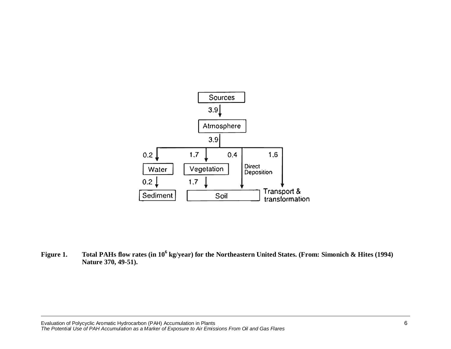

**Figure 1. Total PAHs flow rates (in 106 kg/year) for the Northeastern United States. (From: Simonich & Hites (1994) Nature 370, 49-51).**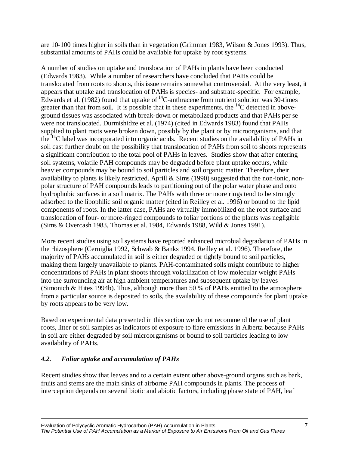are 10-100 times higher in soils than in vegetation (Grimmer 1983, Wilson & Jones 1993). Thus, substantial amounts of PAHs could be available for uptake by root systems.

A number of studies on uptake and translocation of PAHs in plants have been conducted (Edwards 1983). While a number of researchers have concluded that PAHs could be translocated from roots to shoots, this issue remains somewhat controversial. At the very least, it appears that uptake and translocation of PAHs is species- and substrate-specific. For example, Edwards et al. (1982) found that uptake of  $^{14}$ C-anthracene from nutrient solution was 30-times greater than that from soil. It is possible that in these experiments, the  $^{14}C$  detected in aboveground tissues was associated with break-down or metabolized products and that PAHs per se were not translocated. Durmishidze et al. (1974) (cited in Edwards 1983) found that PAHs supplied to plant roots were broken down, possibly by the plant or by microorganisms, and that the  $^{14}$ C label was incorporated into organic acids. Recent studies on the availability of PAHs in soil cast further doubt on the possibility that translocation of PAHs from soil to shoots represents a significant contribution to the total pool of PAHs in leaves. Studies show that after entering soil systems, volatile PAH compounds may be degraded before plant uptake occurs, while heavier compounds may be bound to soil particles and soil organic matter. Therefore, their availability to plants is likely restricted. Aprill & Sims (1990) suggested that the non-ionic, nonpolar structure of PAH compounds leads to partitioning out of the polar water phase and onto hydrophobic surfaces in a soil matrix. The PAHs with three or more rings tend to be strongly adsorbed to the lipophilic soil organic matter (cited in Reilley et al. 1996) or bound to the lipid components of roots. In the latter case, PAHs are virtually immobilized on the root surface and translocation of four- or more-ringed compounds to foliar portions of the plants was negligible (Sims & Overcash 1983, Thomas et al. 1984, Edwards 1988, Wild & Jones 1991).

More recent studies using soil systems have reported enhanced microbial degradation of PAHs in the rhizosphere (Cerniglia 1992, Schwab & Banks 1994, Reilley et al. 1996). Therefore, the majority of PAHs accumulated in soil is either degraded or tightly bound to soil particles, making them largely unavailable to plants. PAH-contaminated soils might contribute to higher concentrations of PAHs in plant shoots through volatilization of low molecular weight PAHs into the surrounding air at high ambient temperatures and subsequent uptake by leaves (Simonich & Hites 1994b). Thus, although more than 50 % of PAHs emitted to the atmosphere from a particular source is deposited to soils, the availability of these compounds for plant uptake by roots appears to be very low.

Based on experimental data presented in this section we do not recommend the use of plant roots, litter or soil samples as indicators of exposure to flare emissions in Alberta because PAHs in soil are either degraded by soil microorganisms or bound to soil particles leading to low availability of PAHs.

#### *4.2. Foliar uptake and accumulation of PAHs*

Recent studies show that leaves and to a certain extent other above-ground organs such as bark, fruits and stems are the main sinks of airborne PAH compounds in plants. The process of interception depends on several biotic and abiotic factors, including phase state of PAH, leaf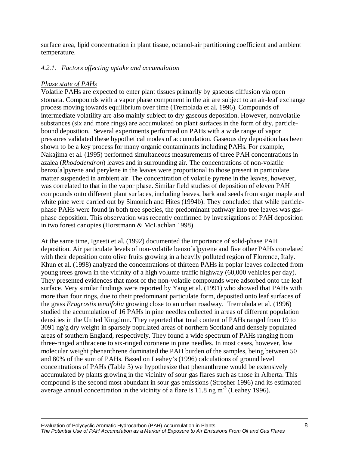surface area, lipid concentration in plant tissue, octanol-air partitioning coefficient and ambient temperature.

#### *4.2.1. Factors affecting uptake and accumulation*

#### *Phase state of PAHs*

Volatile PAHs are expected to enter plant tissues primarily by gaseous diffusion via open stomata. Compounds with a vapor phase component in the air are subject to an air-leaf exchange process moving towards equilibrium over time (Tremolada et al. 1996). Compounds of intermediate volatility are also mainly subject to dry gaseous deposition. However, nonvolatile substances (six and more rings) are accumulated on plant surfaces in the form of dry, particlebound deposition. Several experiments performed on PAHs with a wide range of vapor pressures validated these hypothetical modes of accumulation. Gaseous dry deposition has been shown to be a key process for many organic contaminants including PAHs. For example, Nakajima et al. (1995) performed simultaneous measurements of three PAH concentrations in azalea (*Rhododendron*) leaves and in surrounding air. The concentrations of non-volatile benzo[a]pyrene and perylene in the leaves were proportional to those present in particulate matter suspended in ambient air. The concentration of volatile pyrene in the leaves, however, was correlated to that in the vapor phase. Similar field studies of deposition of eleven PAH compounds onto different plant surfaces, including leaves, bark and seeds from sugar maple and white pine were carried out by Simonich and Hites (1994b). They concluded that while particlephase PAHs were found in both tree species, the predominant pathway into tree leaves was gasphase deposition. This observation was recently confirmed by investigations of PAH deposition in two forest canopies (Horstmann & McLachlan 1998).

At the same time, Ignesti et al. (1992) documented the importance of solid-phase PAH deposition. Air particulate levels of non-volatile benzo[a]pyrene and five other PAHs correlated with their deposition onto olive fruits growing in a heavily polluted region of Florence, Italy. Khun et al. (1998) analyzed the concentrations of thirteen PAHs in poplar leaves collected from young trees grown in the vicinity of a high volume traffic highway (60,000 vehicles per day). They presented evidences that most of the non-volatile compounds were adsorbed onto the leaf surface. Very similar findings were reported by Yang et al. (1991) who showed that PAHs with more than four rings, due to their predominant particulate form, deposited onto leaf surfaces of the grass *Eragrostis tenuifolia* growing close to an urban roadway. Tremolada et al. (1996) studied the accumulation of 16 PAHs in pine needles collected in areas of different population densities in the United Kingdom. They reported that total content of PAHs ranged from 19 to 3091 ng/g dry weight in sparsely populated areas of northern Scotland and densely populated areas of southern England, respectively. They found a wide spectrum of PAHs ranging from three-ringed anthracene to six-ringed coronene in pine needles. In most cases, however, low molecular weight phenanthrene dominated the PAH burden of the samples, being between 50 and 80% of the sum of PAHs. Based on Leahey's (1996) calculations of ground level concentrations of PAHs (Table 3) we hypothesize that phenanthrene would be extensively accumulated by plants growing in the vicinity of sour gas flares such as those in Alberta. This compound is the second most abundant in sour gas emissions (Strosher 1996) and its estimated average annual concentration in the vicinity of a flare is  $11.8$  ng m<sup>-3</sup> (Leahey 1996).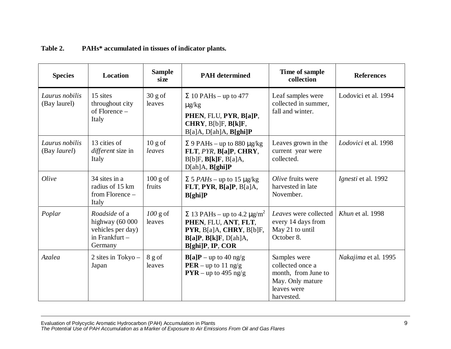| <b>Species</b>                 | <b>Location</b>                                                                           | <b>Sample</b><br>size | <b>PAH</b> determined                                                                                                                           | Time of sample<br>collection                                                                             | <b>References</b>    |
|--------------------------------|-------------------------------------------------------------------------------------------|-----------------------|-------------------------------------------------------------------------------------------------------------------------------------------------|----------------------------------------------------------------------------------------------------------|----------------------|
| Laurus nobilis<br>(Bay laurel) | 15 sites<br>throughout city<br>of Florence -<br>Italy                                     | $30$ g of<br>leaves   | $\Sigma$ 10 PAHs – up to 477<br>$\mu$ g/kg<br>PHEN, FLU, PYR, B[a]P,<br>CHRY, B[b]F, B[k]F,<br>B[a]A, D[ah]A, B[ghi]P                           | Leaf samples were<br>collected in summer,<br>fall and winter.                                            | Lodovici et al. 1994 |
| Laurus nobilis<br>(Bay laurel) | 13 cities of<br>different size in<br>Italy                                                | $10$ g of<br>leaves   | $\Sigma$ 9 PAHs – up to 880 µg/kg<br>FLT, PYR, B[a]P, CHRY,<br>$B[b]F$ , $B[k]F$ , $B[a]A$ ,<br>D[ah]A, B[ghi]P                                 | Leaves grown in the<br>current year were<br>collected.                                                   | Lodovici et al. 1998 |
| Olive                          | 34 sites in a<br>radius of 15 km<br>from Florence –<br>Italy                              | $100$ g of<br>fruits  | $\Sigma$ 5 <i>PAHs</i> – up to 15 µg/kg<br>FLT, PYR, B[a]P, B[a]A,<br>$B[ghi]$ P                                                                | Olive fruits were<br>harvested in late<br>November.                                                      | Ignesti et al. 1992  |
| Poplar                         | <i>Roadside</i> of a<br>highway (60 000<br>vehicles per day)<br>in Frankfurt -<br>Germany | $100$ g of<br>leaves  | $\Sigma$ 13 PAHs – up to 4.2 µg/m <sup>2</sup><br>PHEN, FLU, ANT, FLT,<br>PYR, B[a]A, CHRY, B[b]F,<br>B[a]P, B[k]F, D[ah]A,<br>B[ghi]P, IP, COR | Leaves were collected<br>every 14 days from<br>May 21 to until<br>October 8.                             | Khun et al. 1998     |
| Azalea                         | 2 sites in Tokyo $-$<br>Japan                                                             | $8$ g of<br>leaves    | $B[a]P$ – up to 40 ng/g<br><b>PER</b> – up to 11 ng/g<br>$PYR - up to 495 ng/g$                                                                 | Samples were<br>collected once a<br>month, from June to<br>May. Only mature<br>leaves were<br>harvested. | Nakajima et al. 1995 |

#### **Table 2. PAHs\* accumulated in tissues of indicator plants.**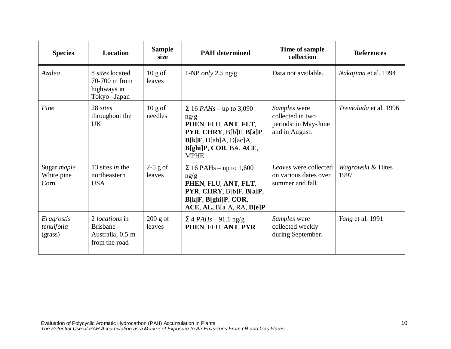| <b>Species</b>                           | <b>Location</b>                                                            | <b>Sample</b><br>size | <b>PAH</b> determined                                                                                                                                                         | Time of sample<br>collection                                               | <b>References</b>           |
|------------------------------------------|----------------------------------------------------------------------------|-----------------------|-------------------------------------------------------------------------------------------------------------------------------------------------------------------------------|----------------------------------------------------------------------------|-----------------------------|
| Azalea                                   | 8 sites located<br>70-700 m from<br>highways in<br>Tokyo - Japan           | $10$ g of<br>leaves   | 1-NP only 2.5 $\text{ng/g}$                                                                                                                                                   | Data not available.                                                        | <i>Nakajima</i> et al. 1994 |
| Pine                                     | 28 sites<br>throughout the<br><b>UK</b>                                    | $10$ g of<br>needles  | $\Sigma$ 16 <i>PAHs</i> – up to 3,090<br>ng/g<br>PHEN, FLU, ANT, FLT,<br>PYR, CHRY, B[b]F, B[a]P,<br>$B[k]F$ , $D[ah]A$ , $D[ac]A$ ,<br>B[ghi]P, COR, BA, ACE,<br><b>MPHE</b> | Samples were<br>collected in two<br>periods: in May-June<br>and in August. | Tremolada et al. 1996       |
| Sugar <i>maple</i><br>White pine<br>Corn | 13 sites in the<br>northeastern<br><b>USA</b>                              | $2-5$ g of<br>leaves  | $\Sigma$ 16 PAHs – up to 1,600<br>ng/g<br>PHEN, FLU, ANT, FLT,<br>PYR, CHRY, B[b]F, B[a]P,<br>B[k]F, B[ghi]P, COR,<br>ACE, AL, B[a]A, RA, B[e]P                               | Leaves were collected<br>on various dates over<br>summer and fall.         | Wagrowski & Hites<br>1997   |
| Eragrostis<br>tenuifolia<br>(grass)      | 2 <i>locations</i> in<br>Brisbane $-$<br>Australia, 0.5 m<br>from the road | $200$ g of<br>leaves  | $\Sigma$ 4 PAHs – 91.1 ng/g<br>PHEN, FLU, ANT, PYR                                                                                                                            | Samples were<br>collected weekly<br>during September.                      | <i>Yang et al.</i> 1991     |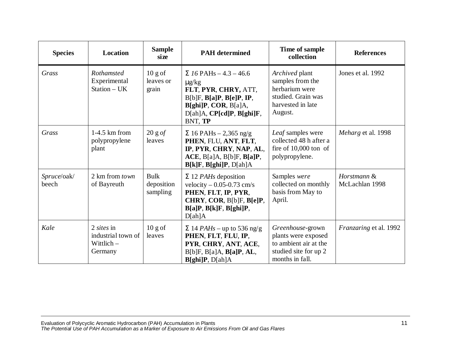| <b>Species</b>       | Location                                                           | <b>Sample</b><br>size           | <b>PAH</b> determined                                                                                                                                                                      | Time of sample<br>collection                                                                                 | <b>References</b>             |
|----------------------|--------------------------------------------------------------------|---------------------------------|--------------------------------------------------------------------------------------------------------------------------------------------------------------------------------------------|--------------------------------------------------------------------------------------------------------------|-------------------------------|
| Grass                | Rothamsted<br>Experimental<br>Station $- UK$                       | $10$ g of<br>leaves or<br>grain | $\Sigma$ 16 PAHs – 4.3 – 46.6<br>$\mu$ g/kg<br>FLT, PYR, CHRY, ATT,<br>$B[b]F$ , $B[a]P$ , $B[e]P$ , $IP$ ,<br>$B[ghi]P$ , COR, $B[a]A$ ,<br>$D[ah]A$ , $CP[cd]P$ , $B[ghi]F$ ,<br>BNT, TP | Archived plant<br>samples from the<br>herbarium were<br>studied. Grain was<br>harvested in late<br>August.   | Jones et al. 1992             |
| Grass                | $1-4.5$ km from<br>polypropylene<br>plant                          | 20 g of<br>leaves               | $\Sigma$ 16 PAHs – 2,365 ng/g<br>PHEN, FLU, ANT, FLT,<br>IP, PYR, CHRY, NAP, AL,<br>ACE, B[a]A, B[b]F, B[a]P,<br>B[k]F, B[ghi]P, D[ah]A                                                    | Leaf samples were<br>collected 48 h after a<br>fire of $10,000$ ton of<br>polypropylene.                     | Meharg et al. 1998            |
| Spruce/oak/<br>beech | 2 km from town<br>of Bayreuth                                      | Bulk<br>deposition<br>sampling  | $\Sigma$ 12 <i>PAHs</i> deposition<br>velocity $-0.05 - 0.73$ cm/s<br>PHEN, FLT, IP, PYR,<br>CHRY, COR, B[b]F, B[e]P,<br>B[a]P, B[k]F, B[ghi]P,<br>D[ah]A                                  | Samples were<br>collected on monthly<br>basis from May to<br>April.                                          | Horstmann &<br>McLachlan 1998 |
| Kale                 | $2 \text{ sites in}$<br>industrial town of<br>Wittlich-<br>Germany | $10$ g of<br>leaves             | $\Sigma$ 14 <i>PAHs</i> – up to 536 ng/g<br>PHEN, FLT, FLU, IP,<br>PYR, CHRY, ANT, ACE,<br>B[b]F, B[a]A, B[a]P, AL,<br>B[ghi]P, D[ah]A                                                     | Greenhouse-grown<br>plants were exposed<br>to ambient air at the<br>studied site for up 2<br>months in fall. | Franzaring et al. 1992        |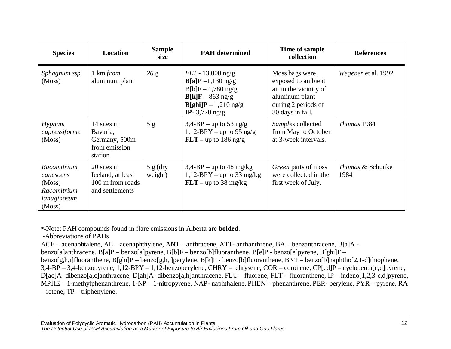| <b>Species</b>                                                             | Location                                                                | <b>Sample</b><br>size | <b>PAH</b> determined                                                                                                                                                          | Time of sample<br>collection                                                                                                | <b>References</b>                   |
|----------------------------------------------------------------------------|-------------------------------------------------------------------------|-----------------------|--------------------------------------------------------------------------------------------------------------------------------------------------------------------------------|-----------------------------------------------------------------------------------------------------------------------------|-------------------------------------|
| Sphagnum ssp<br>(Moss)                                                     | 1 km from<br>aluminum plant                                             | 20 g                  | $FLT - 13,000$ ng/g<br>$B[a]P -1,130$ ng/g<br>$B[b]F - 1,780$ ng/g<br>$B[k]F - 863$ ng/g<br>$\textbf{B}[\textbf{ghi}]\textbf{P} - 1,210 \text{ ng/g}$<br><b>IP</b> -3,720 ng/g | Moss bags were<br>exposed to ambient<br>air in the vicinity of<br>aluminum plant<br>during 2 periods of<br>30 days in fall. | <i>Wegener</i> et al. 1992          |
| Hypnum<br>cupressiforme<br>(Moss)                                          | 14 sites in<br>Bavaria,<br>Germany, 500m<br>from emission<br>station    | 5g                    | $3,4-BP$ – up to 53 ng/g<br>1,12-BPY – up to 95 ng/g<br>$FLT$ – up to 186 ng/g                                                                                                 | Samples collected<br>from May to October<br>at 3-week intervals.                                                            | Thomas 1984                         |
| Racomitrium<br>canescens<br>(Moss)<br>Racomitrium<br>lanuginosum<br>(Moss) | 20 sites in<br>Iceland, at least<br>100 m from roads<br>and settlements | 5 g (dry)<br>weight)  | $3,4$ -BP – up to 48 mg/kg<br>1,12-BPY – up to 33 mg/kg<br>$FLT$ – up to 38 mg/kg                                                                                              | Green parts of moss<br>were collected in the<br>first week of July.                                                         | <i>Thomas &amp; Schunke</i><br>1984 |

\*-Note: PAH compounds found in flare emissions in Alberta are **bolded**.

-Abbreviations of PAHs

ACE – acenaphtalene, AL – acenaphthylene, ANT – anthracene, ATT- anthanthrene, BA – benzanthracene, B[a]A -

benzo[a]anthracene, B[a]P – benzo[a]pyrene, B[b]F – benzo[b]fluoranthene, B[e]P - benzo[e]pyrene, B[ghi]F –

benzo[g,h,i]fluoranthene, B[ghi]P – benzo[g,h,i]perylene, B[k]F - benzo[b]fluoranthene, BNT – benzo[b]naphtho[2,1-d]thiophene,

3,4-BP – 3,4-benzopyrene, 1,12-BPY – 1,12-benzoperylene, CHRY – chrysene, COR – coronene, CP[cd]P – cyclopenta[c,d]pyrene,

D[ac]A- dibenzo[a,c]anthracene, D[ah]A- dibenzo[a,h]anthracene, FLU – fluorene, FLT – fluoranthene, IP – indeno[1,2,3-c,d]pyrene, MPHE – 1-methylphenanthrene, 1-NP – 1-nitropyrene, NAP- naphthalene, PHEN – phenanthrene, PER- perylene, PYR – pyrene, RA – retene, TP – triphenylene.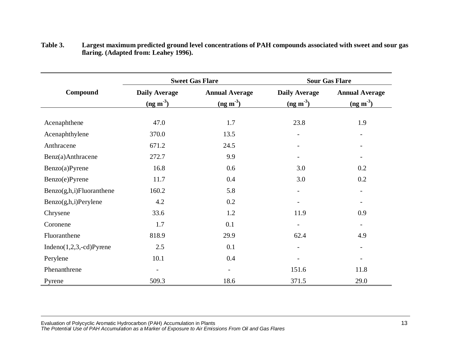|                             |                                    | <b>Sweet Gas Flare</b>              | <b>Sour Gas Flare</b>                              |                                                     |  |
|-----------------------------|------------------------------------|-------------------------------------|----------------------------------------------------|-----------------------------------------------------|--|
| Compound                    | <b>Daily Average</b><br>$(ng m-3)$ | <b>Annual Average</b><br>$(ng m-3)$ | <b>Daily Average</b><br>$\frac{\text{(ng m}^3)}{}$ | <b>Annual Average</b><br>$\frac{\text{(ng m}^3)}{}$ |  |
| Acenaphthene                | 47.0                               | 1.7                                 | 23.8                                               | 1.9                                                 |  |
| Acenaphthylene              | 370.0                              | 13.5                                | $\overline{\phantom{a}}$                           |                                                     |  |
| Anthracene                  | 671.2                              | 24.5                                | $\overline{\phantom{a}}$                           |                                                     |  |
| Benz(a)Anthracene           | 272.7                              | 9.9                                 | $\overline{\phantom{a}}$                           |                                                     |  |
| Benzo(a)Pyrene              | 16.8                               | 0.6                                 | 3.0                                                | 0.2                                                 |  |
| Benzo(e)Pyrene              | 11.7                               | 0.4                                 | 3.0                                                | 0.2                                                 |  |
| Benzo(g,h,i)Fluoranthene    | 160.2                              | 5.8                                 | $\overline{\phantom{a}}$                           | $\qquad \qquad -$                                   |  |
| Benzo(g,h,i)Perylene        | 4.2                                | 0.2                                 | $\overline{\phantom{a}}$                           |                                                     |  |
| Chrysene                    | 33.6                               | 1.2                                 | 11.9                                               | 0.9                                                 |  |
| Coronene                    | 1.7                                | 0.1                                 |                                                    |                                                     |  |
| Fluoranthene                | 818.9                              | 29.9                                | 62.4                                               | 4.9                                                 |  |
| Indeno $(1,2,3,-cd)$ Pyrene | 2.5                                | 0.1                                 | $\overline{\phantom{a}}$                           |                                                     |  |
| Perylene                    | 10.1                               | 0.4                                 |                                                    |                                                     |  |
| Phenanthrene                | $\overline{\phantom{0}}$           |                                     | 151.6                                              | 11.8                                                |  |
| Pyrene                      | 509.3                              | 18.6                                | 371.5                                              | 29.0                                                |  |

**Table 3. Largest maximum predicted ground level concentrations of PAH compounds associated with sweet and sour gas flaring. (Adapted from: Leahey 1996).**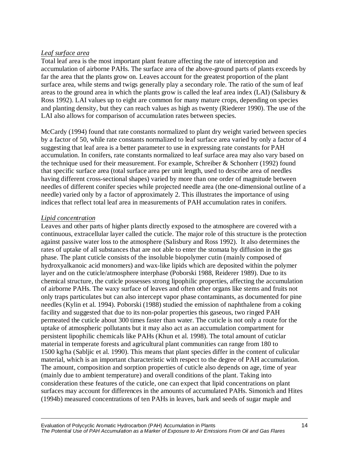#### *Leaf surface area*

Total leaf area is the most important plant feature affecting the rate of interception and accumulation of airborne PAHs. The surface area of the above-ground parts of plants exceeds by far the area that the plants grow on. Leaves account for the greatest proportion of the plant surface area, while stems and twigs generally play a secondary role. The ratio of the sum of leaf areas to the ground area in which the plants grow is called the leaf area index (LAI) (Salisbury & Ross 1992). LAI values up to eight are common for many mature crops, depending on species and planting density, but they can reach values as high as twenty (Riederer 1990). The use of the LAI also allows for comparison of accumulation rates between species.

McCardy (1994) found that rate constants normalized to plant dry weight varied between species by a factor of 50, while rate constants normalized to leaf surface area varied by only a factor of 4 suggesting that leaf area is a better parameter to use in expressing rate constants for PAH accumulation. In conifers, rate constants normalized to leaf surface area may also vary based on the technique used for their measurement. For example, Schreiber & Schonherr (1992) found that specific surface area (total surface area per unit length, used to describe area of needles having different cross-sectional shapes) varied by more than one order of magnitude between needles of different conifer species while projected needle area (the one-dimensional outline of a needle) varied only by a factor of approximately 2. This illustrates the importance of using indices that reflect total leaf area in measurements of PAH accumulation rates in conifers.

#### *Lipid concentration*

Leaves and other parts of higher plants directly exposed to the atmosphere are covered with a continuous, extracellular layer called the cuticle. The major role of this structure is the protection against passive water loss to the atmosphere (Salisbury and Ross 1992). It also determines the rates of uptake of all substances that are not able to enter the stomata by diffusion in the gas phase. The plant cuticle consists of the insoluble biopolymer cutin (mainly composed of hydroxyalkanoic acid monomers) and wax-like lipids which are deposited within the polymer layer and on the cuticle/atmosphere interphase (Poborski 1988, Reiderer 1989). Due to its chemical structure, the cuticle possesses strong lipophilic properties, affecting the accumulation of airborne PAHs. The waxy surface of leaves and often other organs like stems and fruits not only traps particulates but can also intercept vapor phase contaminants, as documented for pine needles (Kylin et al. 1994). Poborski (1988) studied the emission of naphthalene from a coking facility and suggested that due to its non-polar properties this gaseous, two ringed PAH permeated the cuticle about 300 times faster than water. The cuticle is not only a route for the uptake of atmospheric pollutants but it may also act as an accumulation compartment for persistent lipophilic chemicals like PAHs (Khun et al. 1998). The total amount of cuticlar material in temperate forests and agricultural plant communities can range from 180 to 1500 kg/ha (Sabljic et al. 1990). This means that plant species differ in the content of culicular material, which is an important characteristic with respect to the degree of PAH accumulation. The amount, composition and sorption properties of cuticle also depends on age, time of year (mainly due to ambient temperature) and overall conditions of the plant. Taking into consideration these features of the cuticle, one can expect that lipid concentrations on plant surfaces may account for differences in the amounts of accumulated PAHs. Simonich and Hites (1994b) measured concentrations of ten PAHs in leaves, bark and seeds of sugar maple and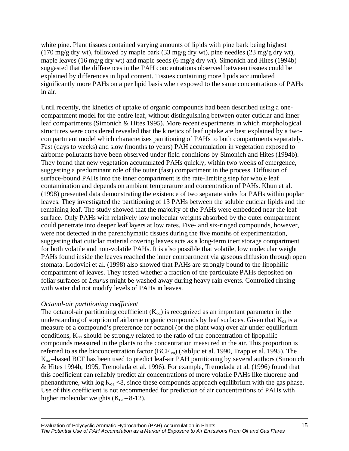white pine. Plant tissues contained varying amounts of lipids with pine bark being highest (170 mg/g dry wt), followed by maple bark (33 mg/g dry wt), pine needles (23 mg/g dry wt), maple leaves (16 mg/g dry wt) and maple seeds (6 mg/g dry wt). Simonich and Hites (1994b) suggested that the differences in the PAH concentrations observed between tissues could be explained by differences in lipid content. Tissues containing more lipids accumulated significantly more PAHs on a per lipid basis when exposed to the same concentrations of PAHs in air.

Until recently, the kinetics of uptake of organic compounds had been described using a onecompartment model for the entire leaf, without distinguishing between outer cuticlar and inner leaf compartments (Simonich & Hites 1995). More recent experiments in which morphological structures were considered revealed that the kinetics of leaf uptake are best explained by a twocompartment model which characterizes partitioning of PAHs to both compartments separately. Fast (days to weeks) and slow (months to years) PAH accumulation in vegetation exposed to airborne pollutants have been observed under field conditions by Simonich and Hites (1994b). They found that new vegetation accumulated PAHs quickly, within two weeks of emergence, suggesting a predominant role of the outer (fast) compartment in the process. Diffusion of surface-bound PAHs into the inner compartment is the rate-limiting step for whole leaf contamination and depends on ambient temperature and concentration of PAHs. Khun et al. (1998) presented data demonstrating the existence of two separate sinks for PAHs within poplar leaves. They investigated the partitioning of 13 PAHs between the soluble cuticlar lipids and the remaining leaf. The study showed that the majority of the PAHs were embedded near the leaf surface. Only PAHs with relatively low molecular weights absorbed by the outer compartment could penetrate into deeper leaf layers at low rates. Five- and six-ringed compounds, however, were not detected in the parenchymatic tissues during the five months of experimentation, suggesting that cuticlar material covering leaves acts as a long-term inert storage compartment for both volatile and non-volatile PAHs. It is also possible that volatile, low molecular weight PAHs found inside the leaves reached the inner compartment via gaseous diffusion through open stomata. Lodovici et al. (1998) also showed that PAHs are strongly bound to the lipophilic compartment of leaves. They tested whether a fraction of the particulate PAHs deposited on foliar surfaces of *Laurus* might be washed away during heavy rain events. Controlled rinsing with water did not modify levels of PAHs in leaves.

#### *Octanol-air partitioning coefficient*

The octanol-air partitioning coefficient  $(K_{0a})$  is recognized as an important parameter in the understanding of sorption of airborne organic compounds by leaf surfaces. Given that  $K_{oa}$  is a measure of a compound's preference for octanol (or the plant wax) over air under equilibrium conditions,  $K_{oa}$  should be strongly related to the ratio of the concentration of lipophilic compounds measured in the plants to the concentration measured in the air. This proportion is referred to as the bioconcentration factor (BCF<sub>p/a</sub>) (Sabljic et al. 1990, Trapp et al. 1995). The Koa –based BCF has been used to predict leaf-air PAH partitioning by several authors (Simonich & Hites 1994b, 1995, Tremolada et al. 1996). For example, Tremolada et al. (1996) found that this coefficient can reliably predict air concentrations of more volatile PAHs like fluorene and phenanthrene, with  $log K_{oa} < 8$ , since these compounds approach equilibrium with the gas phase. Use of this coefficient is not recommended for prediction of air concentrations of PAHs with higher molecular weights  $(K_{oa} - 8-12)$ .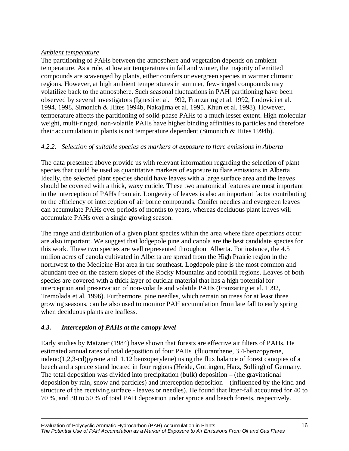#### *Ambient temperature*

The partitioning of PAHs between the atmosphere and vegetation depends on ambient temperature. As a rule, at low air temperatures in fall and winter, the majority of emitted compounds are scavenged by plants, either conifers or evergreen species in warmer climatic regions. However, at high ambient temperatures in summer, few-ringed compounds may volatilize back to the atmosphere. Such seasonal fluctuations in PAH partitioning have been observed by several investigators (Ignesti et al. 1992, Franzaring et al. 1992, Lodovici et al. 1994, 1998, Simonich & Hites 1994b, Nakajima et al. 1995, Khun et al. 1998). However, temperature affects the partitioning of solid-phase PAHs to a much lesser extent. High molecular weight, multi-ringed, non-volatile PAHs have higher binding affinities to particles and therefore their accumulation in plants is not temperature dependent (Simonich & Hites 1994b).

#### *4.2.2. Selection of suitable species as markers of exposure to flare emissions in Alberta*

The data presented above provide us with relevant information regarding the selection of plant species that could be used as quantitative markers of exposure to flare emissions in Alberta. Ideally, the selected plant species should have leaves with a large surface area and the leaves should be covered with a thick, waxy cuticle. These two anatomical features are most important in the interception of PAHs from air. Longevity of leaves is also an important factor contributing to the efficiency of interception of air borne compounds. Conifer needles and evergreen leaves can accumulate PAHs over periods of months to years, whereas deciduous plant leaves will accumulate PAHs over a single growing season.

The range and distribution of a given plant species within the area where flare operations occur are also important. We suggest that lodgepole pine and canola are the best candidate species for this work. These two species are well represented throughout Alberta. For instance, the 4.5 million acres of canola cultivated in Alberta are spread from the High Prairie region in the northwest to the Medicine Hat area in the southeast. Logdepole pine is the most common and abundant tree on the eastern slopes of the Rocky Mountains and foothill regions. Leaves of both species are covered with a thick layer of cuticlar material that has a high potential for interception and preservation of non-volatile and volatile PAHs (Franzaring et al. 1992, Tremolada et al. 1996). Furthermore, pine needles, which remain on trees for at least three growing seasons, can be also used to monitor PAH accumulation from late fall to early spring when deciduous plants are leafless.

#### *4.3. Interception of PAHs at the canopy level*

Early studies by Matzner (1984) have shown that forests are effective air filters of PAHs. He estimated annual rates of total deposition of four PAHs (fluoranthene, 3.4-benzopyrene, indeno(1,2,3-cd)pyrene and 1.12 benzoperylene) using the flux balance of forest canopies of a beech and a spruce stand located in four regions (Heide, Gottingen, Harz, Solling) of Germany. The total deposition was divided into precipitation (bulk) deposition – (the gravitational deposition by rain, snow and particles) and interception deposition – (influenced by the kind and structure of the receiving surface - leaves or needles). He found that litter-fall accounted for 40 to 70 %, and 30 to 50 % of total PAH deposition under spruce and beech forests, respectively.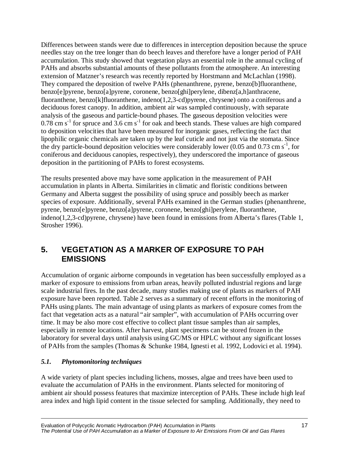Differences between stands were due to differences in interception deposition because the spruce needles stay on the tree longer than do beech leaves and therefore have a longer period of PAH accumulation. This study showed that vegetation plays an essential role in the annual cycling of PAHs and absorbs substantial amounts of these pollutants from the atmosphere. An interesting extension of Matzner's research was recently reported by Horstmann and McLachlan (1998). They compared the deposition of twelve PAHs (phenanthrene, pyrene, benzo[b]fluoranthene, benzo[e]pyrene, benzo[a]pyrene, coronene, benzo[ghi]perylene, dibenz[a,h]anthracene, fluoranthene, benzo[k]fluoranthene, indeno(1,2,3-cd)pyrene, chrysene) onto a coniferous and a deciduous forest canopy. In addition, ambient air was sampled continuously, with separate analysis of the gaseous and particle-bound phases. The gaseous deposition velocities were  $0.78$  cm s<sup>-1</sup> for spruce and 3.6 cm s<sup>-1</sup> for oak and beech stands. These values are high compared to deposition velocities that have been measured for inorganic gases, reflecting the fact that lipophilic organic chemicals are taken up by the leaf cuticle and not just via the stomata. Since the dry particle-bound deposition velocities were considerably lower (0.05 and 0.73 cm  $s^{-1}$ , for coniferous and deciduous canopies, respectively), they underscored the importance of gaseous deposition in the partitioning of PAHs to forest ecosystems.

The results presented above may have some application in the measurement of PAH accumulation in plants in Alberta. Similarities in climatic and floristic conditions between Germany and Alberta suggest the possibility of using spruce and possibly beech as marker species of exposure. Additionally, several PAHs examined in the German studies (phenanthrene, pyrene, benzo[e]pyrene, benzo[a]pyrene, coronene, benzo[ghi]perylene, fluoranthene, indeno(1,2,3-cd)pyrene, chrysene) have been found in emissions from Alberta's flares (Table 1, Strosher 1996).

## **5. VEGETATION AS A MARKER OF EXPOSURE TO PAH EMISSIONS**

Accumulation of organic airborne compounds in vegetation has been successfully employed as a marker of exposure to emissions from urban areas, heavily polluted industrial regions and large scale industrial fires. In the past decade, many studies making use of plants as markers of PAH exposure have been reported. Table 2 serves as a summary of recent efforts in the monitoring of PAHs using plants. The main advantage of using plants as markers of exposure comes from the fact that vegetation acts as a natural "air sampler", with accumulation of PAHs occurring over time. It may be also more cost effective to collect plant tissue samples than air samples, especially in remote locations. After harvest, plant specimens can be stored frozen in the laboratory for several days until analysis using GC/MS or HPLC without any significant losses of PAHs from the samples (Thomas & Schunke 1984, Ignesti et al. 1992, Lodovici et al. 1994).

#### *5.1. Phytomonitoring techniques*

A wide variety of plant species including lichens, mosses, algae and trees have been used to evaluate the accumulation of PAHs in the environment. Plants selected for monitoring of ambient air should possess features that maximize interception of PAHs. These include high leaf area index and high lipid content in the tissue selected for sampling. Additionally, they need to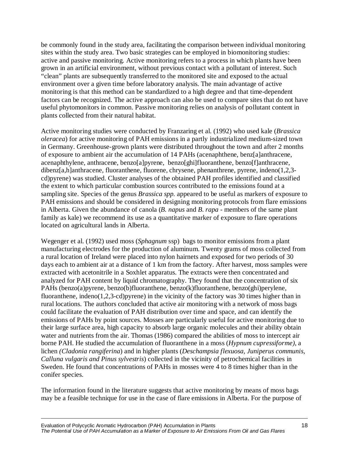be commonly found in the study area, facilitating the comparison between individual monitoring sites within the study area. Two basic strategies can be employed in biomonitoring studies: active and passive monitoring. Active monitoring refers to a process in which plants have been grown in an artificial environment, without previous contact with a pollutant of interest. Such "clean" plants are subsequently transferred to the monitored site and exposed to the actual environment over a given time before laboratory analysis. The main advantage of active monitoring is that this method can be standardized to a high degree and that time-dependent factors can be recognized. The active approach can also be used to compare sites that do not have useful phytomonitors in common. Passive monitoring relies on analysis of pollutant content in plants collected from their natural habitat.

Active monitoring studies were conducted by Franzaring et al. (1992) who used kale (*Brassica oleracea*) for active monitoring of PAH emissions in a partly industrialized medium-sized town in Germany. Greenhouse-grown plants were distributed throughout the town and after 2 months of exposure to ambient air the accumulation of 14 PAHs (acenaphthene, benz[a]anthracene, acenaphthylene, anthracene, benzo[a]pyrene, benzo[ghi]fluoranthene, benzo[f]anthracene, dibenz[a,h]anthracene, fluoranthene, fluorene, chrysene, phenanthrene, pyrene, indeno(1,2,3 cd)pyrene) was studied. Cluster analyses of the obtained PAH profiles identified and classified the extent to which particular combustion sources contributed to the emissions found at a sampling site. Species of the genus *Brassica spp.* appeared to be useful as markers of exposure to PAH emissions and should be considered in designing monitoring protocols from flare emissions in Alberta. Given the abundance of canola (*B. napus* and *B. rapa* - members of the same plant family as kale) we recommend its use as a quantitative marker of exposure to flare operations located on agricultural lands in Alberta.

Wegenger et al. (1992) used moss (*Sphagnum* ssp) bags to monitor emissions from a plant manufacturing electrodes for the production of aluminum. Twenty grams of moss collected from a rural location of Ireland were placed into nylon hairnets and exposed for two periods of 30 days each to ambient air at a distance of 1 km from the factory. After harvest, moss samples were extracted with acetonitrile in a Soxhlet apparatus. The extracts were then concentrated and analyzed for PAH content by liquid chromatography. They found that the concentration of six PAHs (benzo(a)pyrene, benzo(b)fluoranthene, benzo(k)fluoranthene, benzo(ghi)perylene, fluoranthene, indeno(1,2,3-cd)pyrene) in the vicinity of the factory was 30 times higher than in rural locations. The authors concluded that active air monitoring with a network of moss bags could facilitate the evaluation of PAH distribution over time and space, and can identify the emissions of PAHs by point sources. Mosses are particularly useful for active monitoring due to their large surface area, high capacity to absorb large organic molecules and their ability obtain water and nutrients from the air. Thomas (1986) compared the abilities of moss to intercept air borne PAH. He studied the accumulation of fluoranthene in a moss (*Hypnum cupressiforme)*, a lichen *(Cladonia rangiferina*) and in higher plants (*Deschampsia flexuosa, Juniperus communis, Calluna vulgaris and Pinus sylvestris*) collected in the vicinity of petrochemical facilities in Sweden. He found that concentrations of PAHs in mosses were 4 to 8 times higher than in the conifer species.

The information found in the literature suggests that active monitoring by means of moss bags may be a feasible technique for use in the case of flare emissions in Alberta. For the purpose of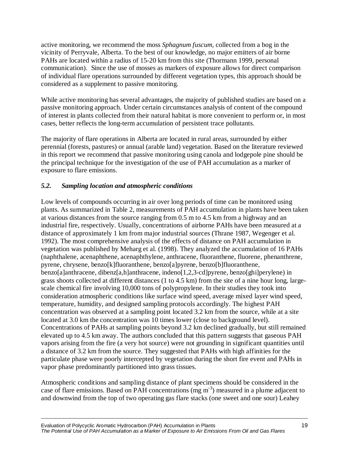active monitoring, we recommend the moss *Sphagnum fuscum,* collected from a bog in the vicinity of Perryvale, Alberta. To the best of our knowledge, no major emitters of air borne PAHs are located within a radius of 15-20 km from this site (Thormann 1999, personal communication). Since the use of mosses as markers of exposure allows for direct comparison of individual flare operations surrounded by different vegetation types, this approach should be considered as a supplement to passive monitoring.

While active monitoring has several advantages, the majority of published studies are based on a passive monitoring approach. Under certain circumstances analysis of content of the compound of interest in plants collected from their natural habitat is more convenient to perform or, in most cases, better reflects the long-term accumulation of persistent trace pollutants.

The majority of flare operations in Alberta are located in rural areas, surrounded by either perennial (forests, pastures) or annual (arable land) vegetation. Based on the literature reviewed in this report we recommend that passive monitoring using canola and lodgepole pine should be the principal technique for the investigation of the use of PAH accumulation as a marker of exposure to flare emissions.

#### *5.2. Sampling location and atmospheric conditions*

Low levels of compounds occurring in air over long periods of time can be monitored using plants. As summarized in Table 2, measurements of PAH accumulation in plants have been taken at various distances from the source ranging from 0.5 m to 4.5 km from a highway and an industrial fire, respectively. Usually, concentrations of airborne PAHs have been measured at a distance of approximately 1 km from major industrial sources (Thrane 1987, Wegenger et al. 1992). The most comprehensive analysis of the effects of distance on PAH accumulation in vegetation was published by Meharg et al. (1998). They analyzed the accumulation of 16 PAHs (naphthalene, acenaphthene, acenaphthylene, anthracene, fluoranthene, fluorene, phenanthrene, pyrene, chrysene, benzo[k]fluoranthene, benzo[a]pyrene, benzo[b]fluoranthene, benzo[a]anthracene, dibenz[a,h]anthracene, indeno[1,2,3-cd]pyrene, benzo[ghi]perylene) in grass shoots collected at different distances (1 to 4.5 km) from the site of a nine hour long, largescale chemical fire involving 10,000 tons of polypropylene. In their studies they took into consideration atmospheric conditions like surface wind speed, average mixed layer wind speed, temperature, humidity, and designed sampling protocols accordingly. The highest PAH concentration was observed at a sampling point located 3.2 km from the source, while at a site located at 3.0 km the concentration was 10 times lower (close to background level). Concentrations of PAHs at sampling points beyond 3.2 km declined gradually, but still remained elevated up to 4.5 km away. The authors concluded that this pattern suggests that gaseous PAH vapors arising from the fire (a very hot source) were not grounding in significant quantities until a distance of 3.2 km from the source. They suggested that PAHs with high affinities for the particulate phase were poorly intercepted by vegetation during the short fire event and PAHs in vapor phase predominantly partitioned into grass tissues.

Atmospheric conditions and sampling distance of plant specimens should be considered in the case of flare emissions. Based on PAH concentrations (mg  $m<sup>-3</sup>$ ) measured in a plume adjacent to and downwind from the top of two operating gas flare stacks (one sweet and one sour) Leahey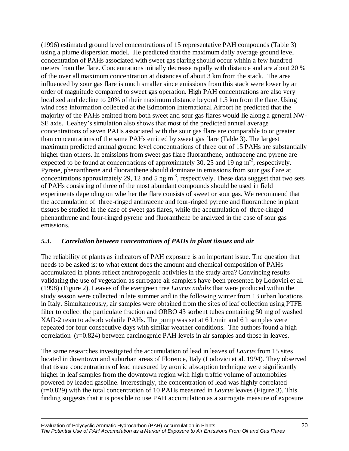(1996) estimated ground level concentrations of 15 representative PAH compounds (Table 3) using a plume dispersion model. He predicted that the maximum daily average ground level concentration of PAHs associated with sweet gas flaring should occur within a few hundred meters from the flare. Concentrations initially decrease rapidly with distance and are about 20 % of the over all maximum concentration at distances of about 3 km from the stack. The area influenced by sour gas flare is much smaller since emissions from this stack were lower by an order of magnitude compared to sweet gas operation. High PAH concentrations are also very localized and decline to 20% of their maximum distance beyond 1.5 km from the flare. Using wind rose information collected at the Edmonton International Airport he predicted that the majority of the PAHs emitted from both sweet and sour gas flares would lie along a general NW-SE axis. Leahey's simulation also shows that most of the predicted annual average concentrations of seven PAHs associated with the sour gas flare are comparable to or greater than concentrations of the same PAHs emitted by sweet gas flare (Table 3). The largest maximum predicted annual ground level concentrations of three out of 15 PAHs are substantially higher than others. In emissions from sweet gas flare fluoranthene, anthracene and pyrene are expected to be found at concentrations of approximately 30, 25 and 19 ng  $m<sup>3</sup>$ , respectively. Pyrene, phenanthrene and fluoranthene should dominate in emissions from sour gas flare at concentrations approximately 29, 12 and 5 ng m-3, respectively. These data suggest that two sets of PAHs consisting of three of the most abundant compounds should be used in field experiments depending on whether the flare consists of sweet or sour gas. We recommend that the accumulation of three-ringed anthracene and four-ringed pyrene and fluoranthene in plant tissues be studied in the case of sweet gas flares, while the accumulation of three-ringed phenanthrene and four-ringed pyrene and fluoranthene be analyzed in the case of sour gas emissions.

#### *5.3. Correlation between concentrations of PAHs in plant tissues and air*

The reliability of plants as indicators of PAH exposure is an important issue. The question that needs to be asked is: to what extent does the amount and chemical composition of PAHs accumulated in plants reflect anthropogenic activities in the study area? Convincing results validating the use of vegetation as surrogate air samplers have been presented by Lodovici et al. (1998) (Figure 2). Leaves of the evergreen tree *Laurus nobilis* that were produced within the study season were collected in late summer and in the following winter from 13 urban locations in Italy. Simultaneously, air samples were obtained from the sites of leaf collection using PTFE filter to collect the particulate fraction and ORBO 43 sorbent tubes containing 50 mg of washed XAD-2 resin to adsorb volatile PAHs. The pump was set at 6 L/min and 6 h samples were repeated for four consecutive days with similar weather conditions. The authors found a high correlation (r=0.824) between carcinogenic PAH levels in air samples and those in leaves.

The same researches investigated the accumulation of lead in leaves of *Laurus* from 15 sites located in downtown and suburban areas of Florence, Italy (Lodovici et al. 1994). They observed that tissue concentrations of lead measured by atomic absorption technique were significantly higher in leaf samples from the downtown region with high traffic volume of automobiles powered by leaded gasoline. Interestingly, the concentration of lead was highly correlated (r=0.829) with the total concentration of 10 PAHs measured in *Laurus* leaves (Figure 3). This finding suggests that it is possible to use PAH accumulation as a surrogate measure of exposure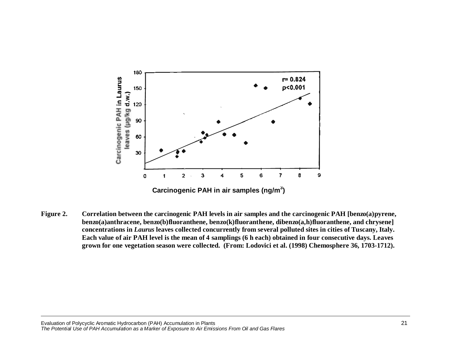

**Figure 2. Correlation between the carcinogenic PAH levels in air samples and the carcinogenic PAH [benzo(a)pyrene, benzo(a)anthracene, benzo(b)fluoranthene, benzo(k)fluoranthene, dibenzo(a,h)fluoranthene, and chrysene] concentrations in** *Laurus* **leaves collected concurrently from several polluted sites in cities of Tuscany, Italy. Each value of air PAH level is the mean of 4 samplings (6 h each) obtained in four consecutive days. Leaves grown for one vegetation season were collected. (From: Lodovici et al. (1998) Chemosphere 36, 1703-1712).**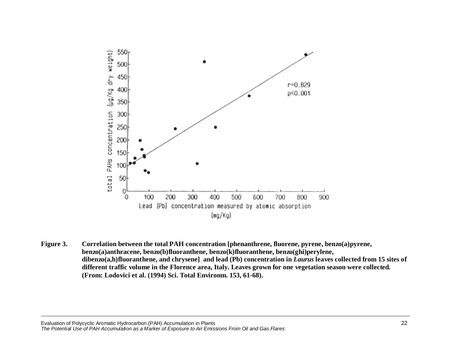

**Figure 3. Correlation between the total PAH concentration [phenanthrene, fluorene, pyrene, benzo(a)pyrene, benzo(a)anthracene, benzo(b)fluoranthene, benzo(k)fluoranthene, benzo(ghi)perylene, dibenzo(a,h)fluoranthene, and chrysene] and lead (Pb) concentration in** *Laurus* **leaves collected from 15 sites of different traffic volume in the Florence area, Italy. Leaves grown for one vegetation season were collected***.* **(From: Lodovici et al. (1994) Sci. Total Environm. 153, 61-68).**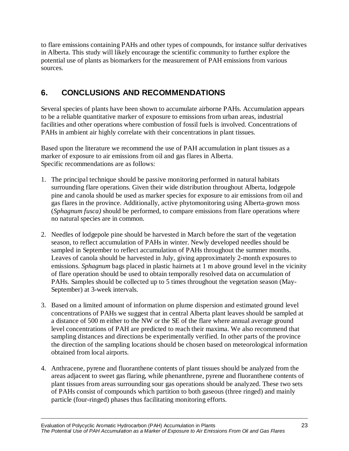to flare emissions containing PAHs and other types of compounds, for instance sulfur derivatives in Alberta. This study will likely encourage the scientific community to further explore the potential use of plants as biomarkers for the measurement of PAH emissions from various sources.

## **6. CONCLUSIONS AND RECOMMENDATIONS**

Several species of plants have been shown to accumulate airborne PAHs. Accumulation appears to be a reliable quantitative marker of exposure to emissions from urban areas, industrial facilities and other operations where combustion of fossil fuels is involved. Concentrations of PAHs in ambient air highly correlate with their concentrations in plant tissues.

Based upon the literature we recommend the use of PAH accumulation in plant tissues as a marker of exposure to air emissions from oil and gas flares in Alberta. Specific recommendations are as follows:

- 1. The principal technique should be passive monitoring performed in natural habitats surrounding flare operations. Given their wide distribution throughout Alberta, lodgepole pine and canola should be used as marker species for exposure to air emissions from oil and gas flares in the province. Additionally, active phytomonitoring using Alberta-grown moss (*Sphagnum fusca)* should be performed, to compare emissions from flare operations where no natural species are in common.
- 2. Needles of lodgepole pine should be harvested in March before the start of the vegetation season, to reflect accumulation of PAHs in winter. Newly developed needles should be sampled in September to reflect accumulation of PAHs throughout the summer months. Leaves of canola should be harvested in July, giving approximately 2-month exposures to emissions. *Sphagnum* bags placed in plastic hairnets at 1 m above ground level in the vicinity of flare operation should be used to obtain temporally resolved data on accumulation of PAHs. Samples should be collected up to 5 times throughout the vegetation season (May-September) at 3-week intervals.
- 3. Based on a limited amount of information on plume dispersion and estimated ground level concentrations of PAHs we suggest that in central Alberta plant leaves should be sampled at a distance of 500 m either to the NW or the SE of the flare where annual average ground level concentrations of PAH are predicted to reach their maxima. We also recommend that sampling distances and directions be experimentally verified. In other parts of the province the direction of the sampling locations should be chosen based on meteorological information obtained from local airports.
- 4. Anthracene, pyrene and fluoranthene contents of plant tissues should be analyzed from the areas adjacent to sweet gas flaring, while phenanthrene, pyrene and fluoranthene contents of plant tissues from areas surrounding sour gas operations should be analyzed. These two sets of PAHs consist of compounds which partition to both gaseous (three ringed) and mainly particle (four-ringed) phases thus facilitating monitoring efforts.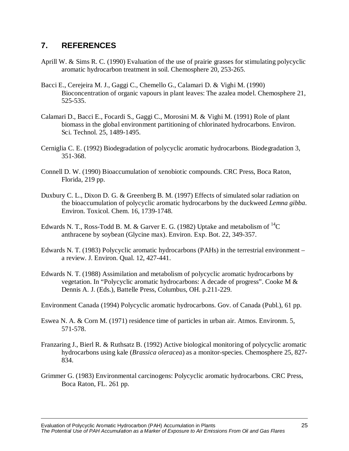## **7. REFERENCES**

- Aprill W. & Sims R. C. (1990) Evaluation of the use of prairie grasses for stimulating polycyclic aromatic hydrocarbon treatment in soil. Chemosphere 20, 253-265.
- Bacci E., Cerejeira M. J., Gaggi C., Chemello G., Calamari D. & Vighi M. (1990) Bioconcentration of organic vapours in plant leaves: The azalea model. Chemosphere 21, 525-535.
- Calamari D., Bacci E., Focardi S., Gaggi C., Morosini M. & Vighi M. (1991) Role of plant biomass in the global environment partitioning of chlorinated hydrocarbons. Environ. Sci. Technol. 25, 1489-1495.
- Cerniglia C. E. (1992) Biodegradation of polycyclic aromatic hydrocarbons. Biodegradation 3, 351-368.
- Connell D. W. (1990) Bioaccumulation of xenobiotic compounds. CRC Press, Boca Raton, Florida, 219 pp.
- Duxbury C. L., Dixon D. G. & Greenberg B. M. (1997) Effects of simulated solar radiation on the bioaccumulation of polycyclic aromatic hydrocarbons by the duckweed *Lemna gibba*. Environ. Toxicol. Chem. 16, 1739-1748.
- Edwards N. T., Ross-Todd B. M. & Garver E. G. (1982) Uptake and metabolism of  ${}^{14}C$ anthracene by soybean (Glycine max). Environ. Exp. Bot. 22, 349-357.
- Edwards N. T. (1983) Polycyclic aromatic hydrocarbons (PAHs) in the terrestrial environment a review. J. Environ. Qual. 12, 427-441.
- Edwards N. T. (1988) Assimilation and metabolism of polycyclic aromatic hydrocarbons by vegetation. In "Polycyclic aromatic hydrocarbons: A decade of progress". Cooke M & Dennis A. J. (Eds.), Battelle Press, Columbus, OH. p.211-229.
- Environment Canada (1994) Polycyclic aromatic hydrocarbons. Gov. of Canada (Publ.), 61 pp.
- Eswea N. A. & Corn M. (1971) residence time of particles in urban air. Atmos. Environm. 5, 571-578.
- Franzaring J., Bierl R. & Ruthsatz B. (1992) Active biological monitoring of polycyclic aromatic hydrocarbons using kale (*Brassica oleracea*) as a monitor-species. Chemosphere 25, 827- 834.
- Grimmer G. (1983) Environmental carcinogens: Polycyclic aromatic hydrocarbons. CRC Press, Boca Raton, FL. 261 pp.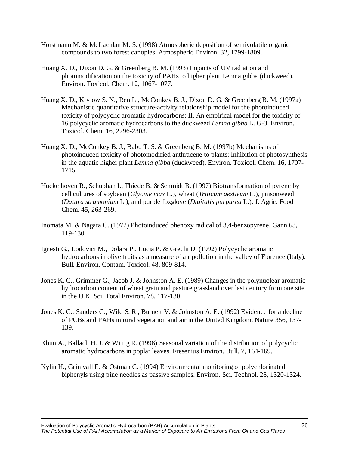- Horstmann M. & McLachlan M. S. (1998) Atmospheric deposition of semivolatile organic compounds to two forest canopies. Atmospheric Environ. 32, 1799-1809.
- Huang X. D., Dixon D. G. & Greenberg B. M. (1993) Impacts of UV radiation and photomodification on the toxicity of PAHs to higher plant Lemna gibba (duckweed). Environ. Toxicol. Chem. 12, 1067-1077.
- Huang X. D., Krylow S. N., Ren L., McConkey B. J., Dixon D. G. & Greenberg B. M. (1997a) Mechanistic quantitative structure-activity relationship model for the photoinduced toxicity of polycyclic aromatic hydrocarbons: II. An empirical model for the toxicity of 16 polycyclic aromatic hydrocarbons to the duckweed *Lemna gibba* L. G-3. Environ. Toxicol. Chem. 16, 2296-2303.
- Huang X. D., McConkey B. J., Babu T. S. & Greenberg B. M. (1997b) Mechanisms of photoinduced toxicity of photomodified anthracene to plants: Inhibition of photosynthesis in the aquatic higher plant *Lemna gibba* (duckweed). Environ. Toxicol. Chem. 16, 1707- 1715.
- Huckelhoven R., Schuphan I., Thiede B. & Schmidt B. (1997) Biotransformation of pyrene by cell cultures of soybean (*Glycine max* L.), wheat (*Triticum aestivum* L.), jimsonweed (*Datura stramonium* L.), and purple foxglove (*Digitalis purpurea* L.). J. Agric. Food Chem. 45, 263-269.
- Inomata M. & Nagata C. (1972) Photoinduced phenoxy radical of 3,4-benzopyrene. Gann 63, 119-130.
- Ignesti G., Lodovici M., Dolara P., Lucia P. & Grechi D. (1992) Polycyclic aromatic hydrocarbons in olive fruits as a measure of air pollution in the valley of Florence (Italy). Bull. Environ. Contam. Toxicol. 48, 809-814.
- Jones K. C., Grimmer G., Jacob J. & Johnston A. E. (1989) Changes in the polynuclear aromatic hydrocarbon content of wheat grain and pasture grassland over last century from one site in the U.K. Sci. Total Environ. 78, 117-130.
- Jones K. C., Sanders G., Wild S. R., Burnett V. & Johnston A. E. (1992) Evidence for a decline of PCBs and PAHs in rural vegetation and air in the United Kingdom. Nature 356, 137- 139.
- Khun A., Ballach H. J. & Wittig R. (1998) Seasonal variation of the distribution of polycyclic aromatic hydrocarbons in poplar leaves. Fresenius Environ. Bull. 7, 164-169.
- Kylin H., Grimvall E. & Ostman C. (1994) Environmental monitoring of polychlorinated biphenyls using pine needles as passive samples. Environ. Sci. Technol. 28, 1320-1324.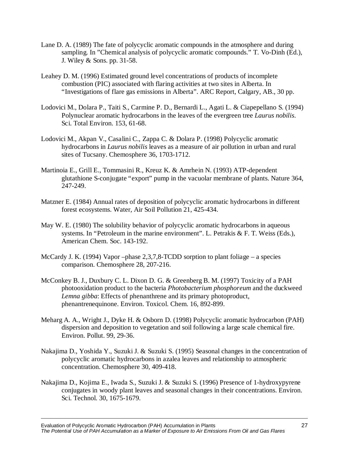- Lane D. A. (1989) The fate of polycyclic aromatic compounds in the atmosphere and during sampling. In "Chemical analysis of polycyclic aromatic compounds." T. Vo-Dinh (Ed.), J. Wiley & Sons. pp. 31-58.
- Leahey D. M. (1996) Estimated ground level concentrations of products of incomplete combustion (PIC) associated with flaring activities at two sites in Alberta. In "Investigations of flare gas emissions in Alberta". ARC Report, Calgary, AB., 30 pp.
- Lodovici M., Dolara P., Taiti S., Carmine P. D., Bernardi L., Agati L. & Ciapepellano S. (1994) Polynuclear aromatic hydrocarbons in the leaves of the evergreen tree *Laurus nobilis*. Sci. Total Environ. 153, 61-68.
- Lodovici M., Akpan V., Casalini C., Zappa C. & Dolara P. (1998) Polycyclic aromatic hydrocarbons in *Laurus nobilis* leaves as a measure of air pollution in urban and rural sites of Tucsany. Chemosphere 36, 1703-1712.
- Martinoia E., Grill E., Tommasini R., Kreuz K. & Amrhein N. (1993) ATP-dependent glutathione S-conjugate "export" pump in the vacuolar membrane of plants. Nature 364, 247-249.
- Matzner E. (1984) Annual rates of deposition of polycyclic aromatic hydrocarbons in different forest ecosystems. Water, Air Soil Pollution 21, 425-434.
- May W. E. (1980) The solubility behavior of polycyclic aromatic hydrocarbons in aqueous systems. In "Petroleum in the marine environment". L. Petrakis & F. T. Weiss (Eds.), American Chem. Soc. 143-192.
- McCardy J. K. (1994) Vapor –phase 2,3,7,8-TCDD sorption to plant foliage a species comparison. Chemosphere 28, 207-216.
- McConkey B. J., Duxbury C. L. Dixon D. G. & Greenberg B. M. (1997) Toxicity of a PAH photooxidation product to the bacteria *Photobacterium phosphoreum* and the duckweed *Lemna gibba*: Effects of phenanthrene and its primary photoproduct, phenantrenequinone. Environ. Toxicol. Chem. 16, 892-899.
- Meharg A. A., Wright J., Dyke H. & Osborn D. (1998) Polycyclic aromatic hydrocarbon (PAH) dispersion and deposition to vegetation and soil following a large scale chemical fire. Environ. Pollut. 99, 29-36.
- Nakajima D., Yoshida Y., Suzuki J. & Suzuki S. (1995) Seasonal changes in the concentration of polycyclic aromatic hydrocarbons in azalea leaves and relationship to atmospheric concentration. Chemosphere 30, 409-418.
- Nakajima D., Kojima E., Iwada S., Suzuki J. & Suzuki S. (1996) Presence of 1-hydroxypyrene conjugates in woody plant leaves and seasonal changes in their concentrations. Environ. Sci. Technol. 30, 1675-1679.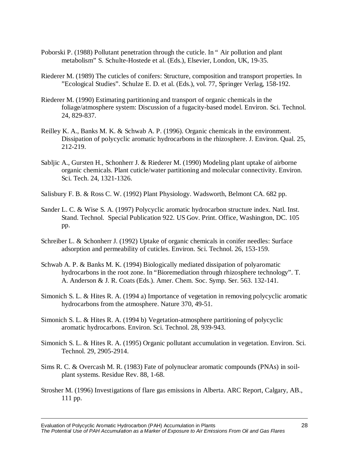- Poborski P. (1988) Pollutant penetration through the cuticle. In " Air pollution and plant metabolism" S. Schulte-Hostede et al. (Eds.), Elsevier, London, UK, 19-35.
- Riederer M. (1989) The cuticles of conifers: Structure, composition and transport properties. In "Ecological Studies". Schulze E. D. et al. (Eds.), vol. 77, Springer Verlag, 158-192.
- Riederer M. (1990) Estimating partitioning and transport of organic chemicals in the foliage/atmosphere system: Discussion of a fugacity-based model. Environ. Sci. Technol. 24, 829-837.
- Reilley K. A., Banks M. K. & Schwab A. P. (1996). Organic chemicals in the environment. Dissipation of polycyclic aromatic hydrocarbons in the rhizosphere. J. Environ. Qual. 25, 212-219.
- Sabljic A., Gursten H., Schonherr J. & Riederer M. (1990) Modeling plant uptake of airborne organic chemicals. Plant cuticle/water partitioning and molecular connectivity. Environ. Sci. Tech. 24, 1321-1326.
- Salisbury F. B. & Ross C. W. (1992) Plant Physiology. Wadsworth, Belmont CA. 682 pp.
- Sander L. C. & Wise S. A. (1997) Polycyclic aromatic hydrocarbon structure index. Natl. Inst. Stand. Technol. Special Publication 922. US Gov. Print. Office, Washington, DC. 105 pp.
- Schreiber L. & Schonherr J. (1992) Uptake of organic chemicals in conifer needles: Surface adsorption and permeability of cuticles. Environ. Sci. Technol. 26, 153-159.
- Schwab A. P. & Banks M. K. (1994) Biologically mediated dissipation of polyaromatic hydrocarbons in the root zone. In "Bioremediation through rhizosphere technology". T. A. Anderson & J. R. Coats (Eds.). Amer. Chem. Soc. Symp. Ser. 563. 132-141.
- Simonich S. L. & Hites R. A. (1994 a) Importance of vegetation in removing polycyclic aromatic hydrocarbons from the atmosphere. Nature 370, 49-51.
- Simonich S. L. & Hites R. A. (1994 b) Vegetation-atmosphere partitioning of polycyclic aromatic hydrocarbons. Environ. Sci. Technol. 28, 939-943.
- Simonich S. L. & Hites R. A. (1995) Organic pollutant accumulation in vegetation. Environ. Sci. Technol. 29, 2905-2914.
- Sims R. C. & Overcash M. R. (1983) Fate of polynuclear aromatic compounds (PNAs) in soilplant systems. Residue Rev. 88, 1-68.
- Strosher M. (1996) Investigations of flare gas emissions in Alberta. ARC Report, Calgary, AB., 111 pp.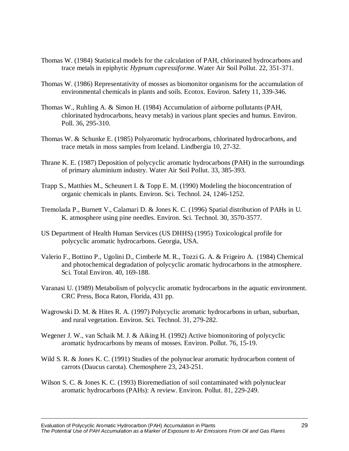- Thomas W. (1984) Statistical models for the calculation of PAH, chlorinated hydrocarbons and trace metals in epiphytic *Hypnum cupressiforme*. Water Air Soil Pollut. 22, 351-371.
- Thomas W. (1986) Representativity of mosses as biomonitor organisms for the accumulation of environmental chemicals in plants and soils. Ecotox. Environ. Safety 11, 339-346.
- Thomas W., Ruhling A. & Simon H. (1984) Accumulation of airborne pollutants (PAH, chlorinated hydrocarbons, heavy metals) in various plant species and humus. Environ. Poll. 36, 295-310.
- Thomas W. & Schunke E. (1985) Polyaromatic hydrocarbons, chlorinated hydrocarbons, and trace metals in moss samples from Iceland. Lindbergia 10, 27-32.
- Thrane K. E. (1987) Deposition of polycyclic aromatic hydrocarbons (PAH) in the surroundings of primary aluminium industry. Water Air Soil Pollut. 33, 385-393.
- Trapp S., Matthies M., Scheunert I. & Topp E. M. (1990) Modeling the bioconcentration of organic chemicals in plants. Environ. Sci. Technol. 24, 1246-1252.
- Tremolada P., Burnett V., Calamari D. & Jones K. C. (1996) Spatial distribution of PAHs in U. K. atmosphere using pine needles. Environ. Sci. Technol. 30, 3570-3577.
- US Department of Health Human Services (US DHHS) (1995) Toxicological profile for polycyclic aromatic hydrocarbons. Georgia, USA.
- Valerio F., Bottino P., Ugolini D., Cimberle M. R., Tozzi G. A. & Frigeiro A. (1984) Chemical and photochemical degradation of polycyclic aromatic hydrocarbons in the atmosphere. Sci. Total Environ. 40, 169-188.
- Varanasi U. (1989) Metabolism of polycyclic aromatic hydrocarbons in the aquatic environment. CRC Press, Boca Raton, Florida, 431 pp.
- Wagrowski D. M. & Hites R. A. (1997) Polycyclic aromatic hydrocarbons in urban, suburban, and rural vegetation. Environ. Sci. Technol. 31, 279-282.
- Wegener J. W., van Schaik M. J. & Aiking H. (1992) Active biomonitoring of polycyclic aromatic hydrocarbons by means of mosses. Environ. Pollut. 76, 15-19.
- Wild S. R. & Jones K. C. (1991) Studies of the polynuclear aromatic hydrocarbon content of carrots (Daucus carota). Chemosphere 23, 243-251.
- Wilson S. C. & Jones K. C. (1993) Bioremediation of soil contaminated with polynuclear aromatic hydrocarbons (PAHs): A review. Environ. Pollut. 81, 229-249.